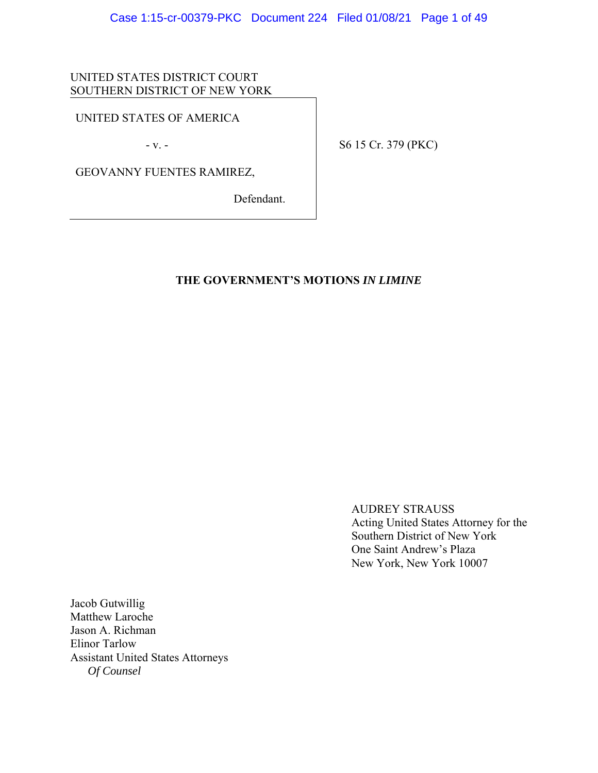## UNITED STATES DISTRICT COURT SOUTHERN DISTRICT OF NEW YORK

UNITED STATES OF AMERICA

 $-V. -$ 

S6 15 Cr. 379 (PKC)

GEOVANNY FUENTES RAMIREZ,

Defendant.

## **THE GOVERNMENT'S MOTIONS** *IN LIMINE*

 AUDREY STRAUSS Acting United States Attorney for the Southern District of New York One Saint Andrew's Plaza New York, New York 10007

Jacob Gutwillig Matthew Laroche Jason A. Richman Elinor Tarlow Assistant United States Attorneys *Of Counsel*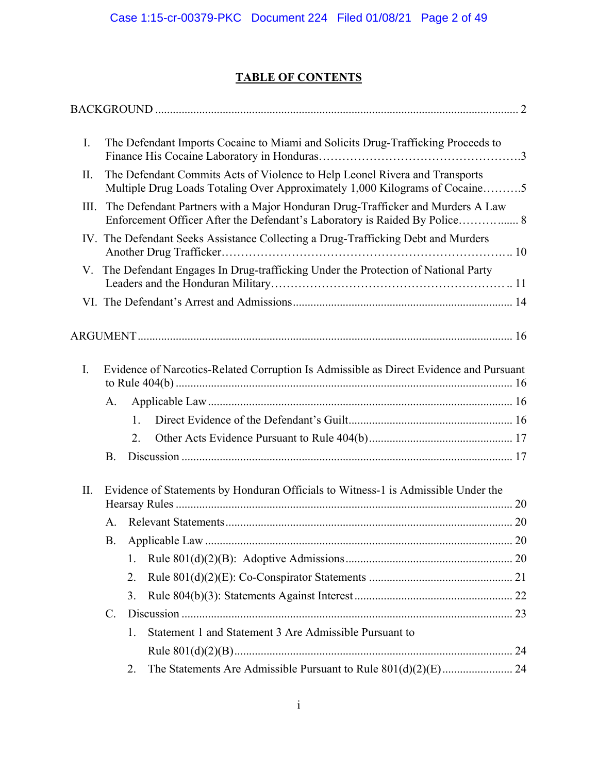# **TABLE OF CONTENTS**

| I.   | The Defendant Imports Cocaine to Miami and Solicits Drug-Trafficking Proceeds to                                                                             |                |                                                        |  |  |  |  |  |
|------|--------------------------------------------------------------------------------------------------------------------------------------------------------------|----------------|--------------------------------------------------------|--|--|--|--|--|
| II.  | The Defendant Commits Acts of Violence to Help Leonel Rivera and Transports<br>Multiple Drug Loads Totaling Over Approximately 1,000 Kilograms of Cocaine5   |                |                                                        |  |  |  |  |  |
| III. | The Defendant Partners with a Major Honduran Drug-Trafficker and Murders A Law<br>Enforcement Officer After the Defendant's Laboratory is Raided By Police 8 |                |                                                        |  |  |  |  |  |
|      | IV. The Defendant Seeks Assistance Collecting a Drug-Trafficking Debt and Murders                                                                            |                |                                                        |  |  |  |  |  |
| V.   | The Defendant Engages In Drug-trafficking Under the Protection of National Party                                                                             |                |                                                        |  |  |  |  |  |
|      |                                                                                                                                                              |                |                                                        |  |  |  |  |  |
|      |                                                                                                                                                              |                |                                                        |  |  |  |  |  |
| I.   | Evidence of Narcotics-Related Corruption Is Admissible as Direct Evidence and Pursuant                                                                       |                |                                                        |  |  |  |  |  |
|      | A.                                                                                                                                                           |                |                                                        |  |  |  |  |  |
|      |                                                                                                                                                              | 1.             |                                                        |  |  |  |  |  |
|      |                                                                                                                                                              | 2.             |                                                        |  |  |  |  |  |
|      | <b>B.</b>                                                                                                                                                    |                |                                                        |  |  |  |  |  |
| Π.   | Evidence of Statements by Honduran Officials to Witness-1 is Admissible Under the                                                                            |                |                                                        |  |  |  |  |  |
|      | A.                                                                                                                                                           |                |                                                        |  |  |  |  |  |
|      | Β.                                                                                                                                                           |                |                                                        |  |  |  |  |  |
|      |                                                                                                                                                              | $\mathbf{1}$ . |                                                        |  |  |  |  |  |
|      |                                                                                                                                                              | 2.             |                                                        |  |  |  |  |  |
|      |                                                                                                                                                              | 3.             |                                                        |  |  |  |  |  |
|      | $\mathbf{C}$ .                                                                                                                                               |                |                                                        |  |  |  |  |  |
|      |                                                                                                                                                              | 1.             | Statement 1 and Statement 3 Are Admissible Pursuant to |  |  |  |  |  |
|      |                                                                                                                                                              |                |                                                        |  |  |  |  |  |
|      |                                                                                                                                                              | 2.             |                                                        |  |  |  |  |  |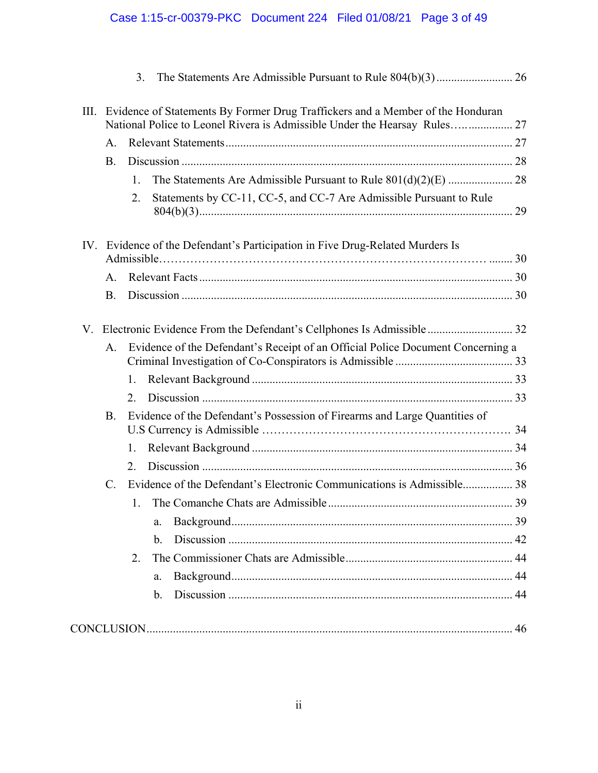|      |                                                                                                                                                                | 3.                                                                              |                                                                            |  |  |  |
|------|----------------------------------------------------------------------------------------------------------------------------------------------------------------|---------------------------------------------------------------------------------|----------------------------------------------------------------------------|--|--|--|
| III. | Evidence of Statements By Former Drug Traffickers and a Member of the Honduran<br>National Police to Leonel Rivera is Admissible Under the Hearsay Rules<br>27 |                                                                                 |                                                                            |  |  |  |
|      | A.                                                                                                                                                             |                                                                                 |                                                                            |  |  |  |
|      | <b>B.</b>                                                                                                                                                      |                                                                                 |                                                                            |  |  |  |
|      |                                                                                                                                                                | 1.                                                                              |                                                                            |  |  |  |
|      |                                                                                                                                                                | 2.                                                                              | Statements by CC-11, CC-5, and CC-7 Are Admissible Pursuant to Rule        |  |  |  |
|      | IV. Evidence of the Defendant's Participation in Five Drug-Related Murders Is                                                                                  |                                                                                 |                                                                            |  |  |  |
|      | A.                                                                                                                                                             |                                                                                 |                                                                            |  |  |  |
|      | B.                                                                                                                                                             |                                                                                 |                                                                            |  |  |  |
|      |                                                                                                                                                                |                                                                                 |                                                                            |  |  |  |
|      | V. Electronic Evidence From the Defendant's Cellphones Is Admissible  32                                                                                       |                                                                                 |                                                                            |  |  |  |
|      | A.                                                                                                                                                             | Evidence of the Defendant's Receipt of an Official Police Document Concerning a |                                                                            |  |  |  |
|      |                                                                                                                                                                | 1.                                                                              |                                                                            |  |  |  |
|      |                                                                                                                                                                | 2.                                                                              |                                                                            |  |  |  |
|      | <b>B.</b>                                                                                                                                                      |                                                                                 | Evidence of the Defendant's Possession of Firearms and Large Quantities of |  |  |  |
|      |                                                                                                                                                                | 1.                                                                              |                                                                            |  |  |  |
|      |                                                                                                                                                                | 2.                                                                              |                                                                            |  |  |  |
|      | $C$ .                                                                                                                                                          |                                                                                 | Evidence of the Defendant's Electronic Communications is Admissible 38     |  |  |  |
|      |                                                                                                                                                                | 1.                                                                              |                                                                            |  |  |  |
|      |                                                                                                                                                                |                                                                                 | a.                                                                         |  |  |  |
|      |                                                                                                                                                                |                                                                                 | $\mathbf b$ .                                                              |  |  |  |
|      |                                                                                                                                                                | 2.                                                                              |                                                                            |  |  |  |
|      |                                                                                                                                                                |                                                                                 | a.                                                                         |  |  |  |
|      |                                                                                                                                                                |                                                                                 | $\mathbf b$ .                                                              |  |  |  |
|      |                                                                                                                                                                |                                                                                 |                                                                            |  |  |  |
|      |                                                                                                                                                                |                                                                                 |                                                                            |  |  |  |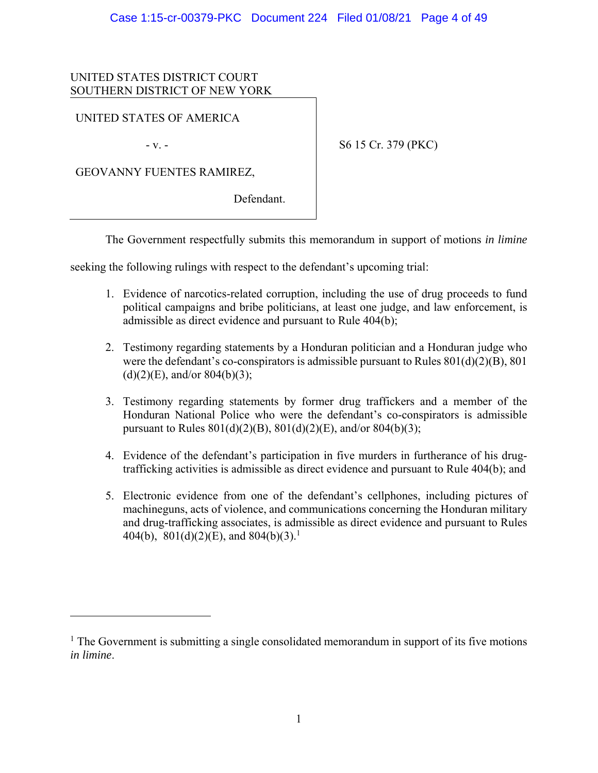## UNITED STATES DISTRICT COURT SOUTHERN DISTRICT OF NEW YORK

UNITED STATES OF AMERICA

- v. -

 $\overline{a}$ 

S6 15 Cr. 379 (PKC)

GEOVANNY FUENTES RAMIREZ,

Defendant.

The Government respectfully submits this memorandum in support of motions *in limine*

seeking the following rulings with respect to the defendant's upcoming trial:

- 1. Evidence of narcotics-related corruption, including the use of drug proceeds to fund political campaigns and bribe politicians, at least one judge, and law enforcement, is admissible as direct evidence and pursuant to Rule 404(b);
- 2. Testimony regarding statements by a Honduran politician and a Honduran judge who were the defendant's co-conspirators is admissible pursuant to Rules  $801(d)(2)(B)$ ,  $801$  $(d)(2)(E)$ , and/or 804(b)(3);
- 3. Testimony regarding statements by former drug traffickers and a member of the Honduran National Police who were the defendant's co-conspirators is admissible pursuant to Rules 801(d)(2)(B), 801(d)(2)(E), and/or 804(b)(3);
- 4. Evidence of the defendant's participation in five murders in furtherance of his drugtrafficking activities is admissible as direct evidence and pursuant to Rule 404(b); and
- 5. Electronic evidence from one of the defendant's cellphones, including pictures of machineguns, acts of violence, and communications concerning the Honduran military and drug-trafficking associates, is admissible as direct evidence and pursuant to Rules 404(b),  $801(d)(2)(E)$ , and  $804(b)(3)$ .<sup>1</sup>

<sup>&</sup>lt;sup>1</sup> The Government is submitting a single consolidated memorandum in support of its five motions *in limine*.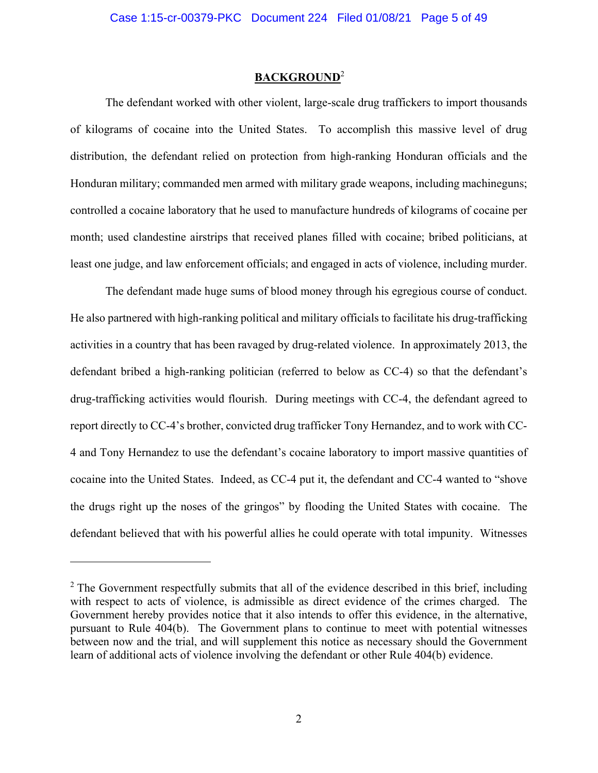## **BACKGROUND**<sup>2</sup>

The defendant worked with other violent, large-scale drug traffickers to import thousands of kilograms of cocaine into the United States. To accomplish this massive level of drug distribution, the defendant relied on protection from high-ranking Honduran officials and the Honduran military; commanded men armed with military grade weapons, including machineguns; controlled a cocaine laboratory that he used to manufacture hundreds of kilograms of cocaine per month; used clandestine airstrips that received planes filled with cocaine; bribed politicians, at least one judge, and law enforcement officials; and engaged in acts of violence, including murder.

The defendant made huge sums of blood money through his egregious course of conduct. He also partnered with high-ranking political and military officials to facilitate his drug-trafficking activities in a country that has been ravaged by drug-related violence. In approximately 2013, the defendant bribed a high-ranking politician (referred to below as CC-4) so that the defendant's drug-trafficking activities would flourish. During meetings with CC-4, the defendant agreed to report directly to CC-4's brother, convicted drug trafficker Tony Hernandez, and to work with CC-4 and Tony Hernandez to use the defendant's cocaine laboratory to import massive quantities of cocaine into the United States. Indeed, as CC-4 put it, the defendant and CC-4 wanted to "shove the drugs right up the noses of the gringos" by flooding the United States with cocaine. The defendant believed that with his powerful allies he could operate with total impunity. Witnesses

 $\overline{a}$ 

 $2$  The Government respectfully submits that all of the evidence described in this brief, including with respect to acts of violence, is admissible as direct evidence of the crimes charged. The Government hereby provides notice that it also intends to offer this evidence, in the alternative, pursuant to Rule 404(b). The Government plans to continue to meet with potential witnesses between now and the trial, and will supplement this notice as necessary should the Government learn of additional acts of violence involving the defendant or other Rule 404(b) evidence.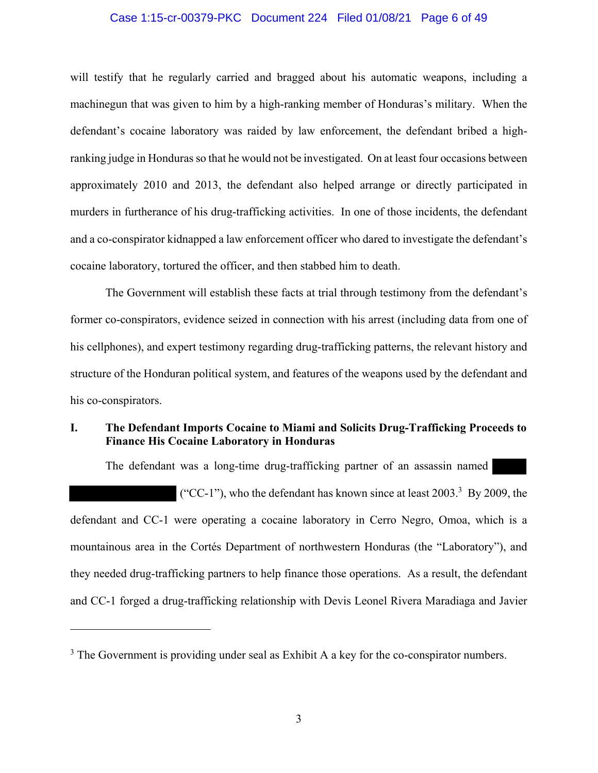#### Case 1:15-cr-00379-PKC Document 224 Filed 01/08/21 Page 6 of 49

will testify that he regularly carried and bragged about his automatic weapons, including a machinegun that was given to him by a high-ranking member of Honduras's military. When the defendant's cocaine laboratory was raided by law enforcement, the defendant bribed a highranking judge in Honduras so that he would not be investigated. On at least four occasions between approximately 2010 and 2013, the defendant also helped arrange or directly participated in murders in furtherance of his drug-trafficking activities. In one of those incidents, the defendant and a co-conspirator kidnapped a law enforcement officer who dared to investigate the defendant's cocaine laboratory, tortured the officer, and then stabbed him to death.

The Government will establish these facts at trial through testimony from the defendant's former co-conspirators, evidence seized in connection with his arrest (including data from one of his cellphones), and expert testimony regarding drug-trafficking patterns, the relevant history and structure of the Honduran political system, and features of the weapons used by the defendant and his co-conspirators.

## **I. The Defendant Imports Cocaine to Miami and Solicits Drug-Trafficking Proceeds to Finance His Cocaine Laboratory in Honduras**

The defendant was a long-time drug-trafficking partner of an assassin named

 ("CC-1"), who the defendant has known since at least 2003.3 By 2009, the defendant and CC-1 were operating a cocaine laboratory in Cerro Negro, Omoa, which is a mountainous area in the Cortés Department of northwestern Honduras (the "Laboratory"), and they needed drug-trafficking partners to help finance those operations. As a result, the defendant and CC-1 forged a drug-trafficking relationship with Devis Leonel Rivera Maradiaga and Javier

 $\overline{a}$ 

 $3$  The Government is providing under seal as Exhibit A a key for the co-conspirator numbers.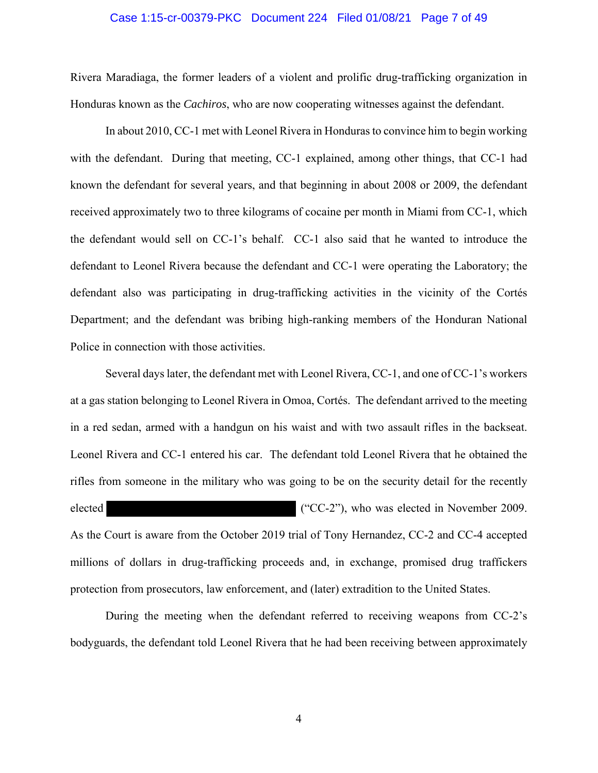#### Case 1:15-cr-00379-PKC Document 224 Filed 01/08/21 Page 7 of 49

Rivera Maradiaga, the former leaders of a violent and prolific drug-trafficking organization in Honduras known as the *Cachiros*, who are now cooperating witnesses against the defendant.

In about 2010, CC-1 met with Leonel Rivera in Honduras to convince him to begin working with the defendant. During that meeting, CC-1 explained, among other things, that CC-1 had known the defendant for several years, and that beginning in about 2008 or 2009, the defendant received approximately two to three kilograms of cocaine per month in Miami from CC-1, which the defendant would sell on CC-1's behalf. CC-1 also said that he wanted to introduce the defendant to Leonel Rivera because the defendant and CC-1 were operating the Laboratory; the defendant also was participating in drug-trafficking activities in the vicinity of the Cortés Department; and the defendant was bribing high-ranking members of the Honduran National Police in connection with those activities.

Several days later, the defendant met with Leonel Rivera, CC-1, and one of CC-1's workers at a gas station belonging to Leonel Rivera in Omoa, Cortés. The defendant arrived to the meeting in a red sedan, armed with a handgun on his waist and with two assault rifles in the backseat. Leonel Rivera and CC-1 entered his car. The defendant told Leonel Rivera that he obtained the rifles from someone in the military who was going to be on the security detail for the recently elected ("CC-2"), who was elected in November 2009. As the Court is aware from the October 2019 trial of Tony Hernandez, CC-2 and CC-4 accepted millions of dollars in drug-trafficking proceeds and, in exchange, promised drug traffickers protection from prosecutors, law enforcement, and (later) extradition to the United States.

During the meeting when the defendant referred to receiving weapons from CC-2's bodyguards, the defendant told Leonel Rivera that he had been receiving between approximately

4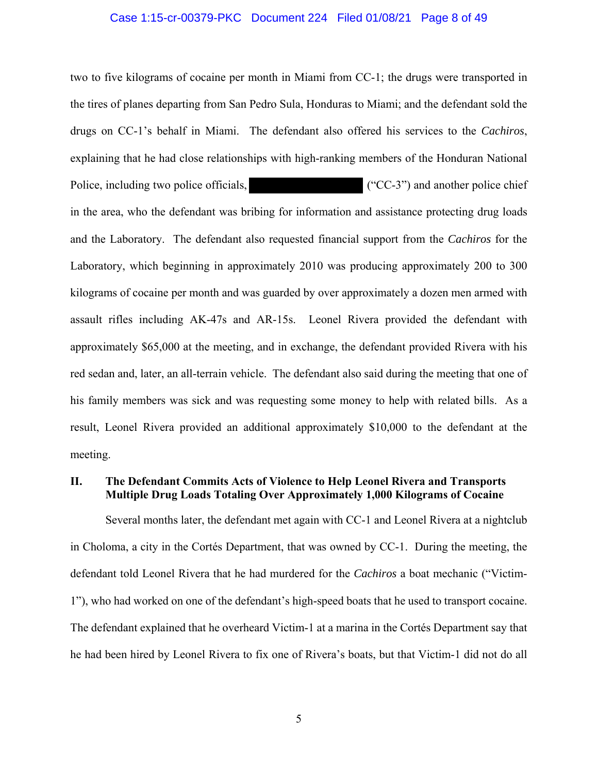#### Case 1:15-cr-00379-PKC Document 224 Filed 01/08/21 Page 8 of 49

two to five kilograms of cocaine per month in Miami from CC-1; the drugs were transported in the tires of planes departing from San Pedro Sula, Honduras to Miami; and the defendant sold the drugs on CC-1's behalf in Miami. The defendant also offered his services to the *Cachiros*, explaining that he had close relationships with high-ranking members of the Honduran National Police, including two police officials,  $("CC-3")$  and another police chief in the area, who the defendant was bribing for information and assistance protecting drug loads and the Laboratory. The defendant also requested financial support from the *Cachiros* for the Laboratory, which beginning in approximately 2010 was producing approximately 200 to 300 kilograms of cocaine per month and was guarded by over approximately a dozen men armed with assault rifles including AK-47s and AR-15s. Leonel Rivera provided the defendant with approximately \$65,000 at the meeting, and in exchange, the defendant provided Rivera with his red sedan and, later, an all-terrain vehicle. The defendant also said during the meeting that one of his family members was sick and was requesting some money to help with related bills. As a result, Leonel Rivera provided an additional approximately \$10,000 to the defendant at the meeting.

## **II. The Defendant Commits Acts of Violence to Help Leonel Rivera and Transports Multiple Drug Loads Totaling Over Approximately 1,000 Kilograms of Cocaine**

Several months later, the defendant met again with CC-1 and Leonel Rivera at a nightclub in Choloma, a city in the Cortés Department, that was owned by CC-1. During the meeting, the defendant told Leonel Rivera that he had murdered for the *Cachiros* a boat mechanic ("Victim-1"), who had worked on one of the defendant's high-speed boats that he used to transport cocaine. The defendant explained that he overheard Victim-1 at a marina in the Cortés Department say that he had been hired by Leonel Rivera to fix one of Rivera's boats, but that Victim-1 did not do all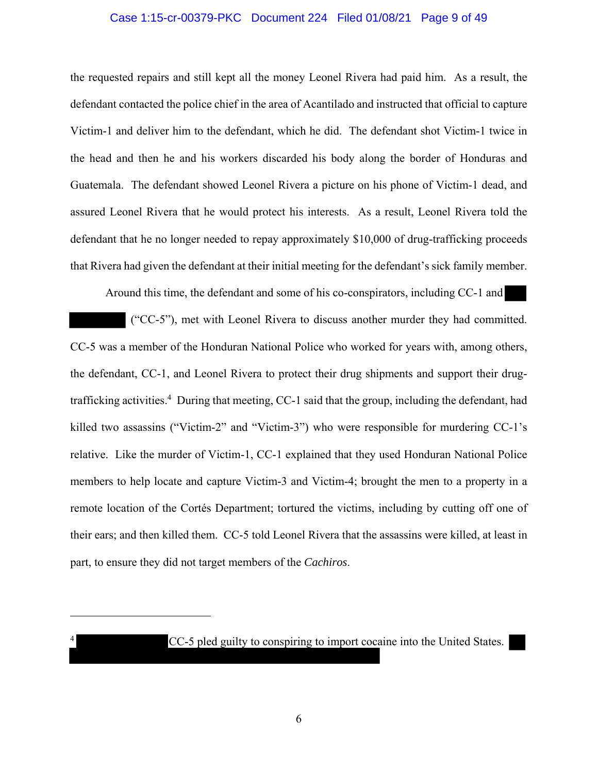### Case 1:15-cr-00379-PKC Document 224 Filed 01/08/21 Page 9 of 49

the requested repairs and still kept all the money Leonel Rivera had paid him. As a result, the defendant contacted the police chief in the area of Acantilado and instructed that official to capture Victim-1 and deliver him to the defendant, which he did. The defendant shot Victim-1 twice in the head and then he and his workers discarded his body along the border of Honduras and Guatemala. The defendant showed Leonel Rivera a picture on his phone of Victim-1 dead, and assured Leonel Rivera that he would protect his interests. As a result, Leonel Rivera told the defendant that he no longer needed to repay approximately \$10,000 of drug-trafficking proceeds that Rivera had given the defendant at their initial meeting for the defendant's sick family member.

Around this time, the defendant and some of his co-conspirators, including CC-1 and ("CC-5"), met with Leonel Rivera to discuss another murder they had committed. CC-5 was a member of the Honduran National Police who worked for years with, among others, the defendant, CC-1, and Leonel Rivera to protect their drug shipments and support their drugtrafficking activities.<sup>4</sup> During that meeting, CC-1 said that the group, including the defendant, had killed two assassins ("Victim-2" and "Victim-3") who were responsible for murdering CC-1's relative. Like the murder of Victim-1, CC-1 explained that they used Honduran National Police members to help locate and capture Victim-3 and Victim-4; brought the men to a property in a remote location of the Cortés Department; tortured the victims, including by cutting off one of their ears; and then killed them. CC-5 told Leonel Rivera that the assassins were killed, at least in part, to ensure they did not target members of the *Cachiros*.

 $\overline{a}$ 

CC-5 pled guilty to conspiring to import cocaine into the United States.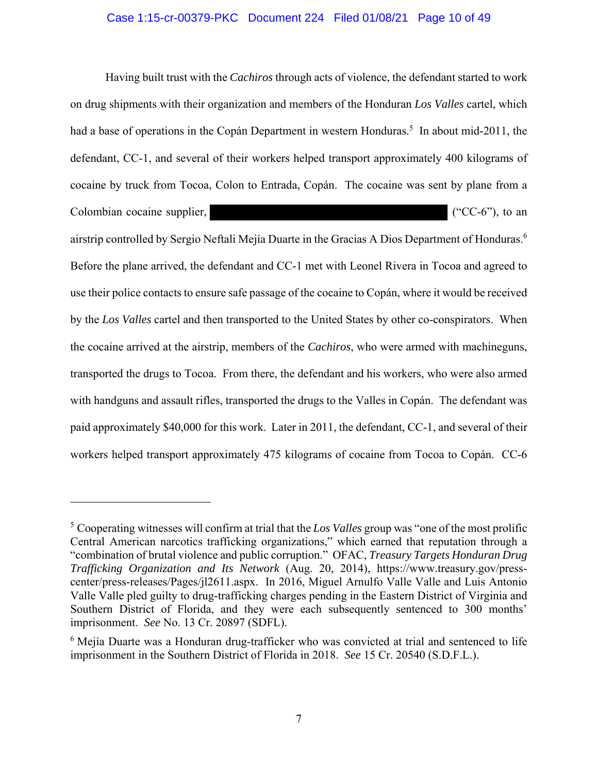### Case 1:15-cr-00379-PKC Document 224 Filed 01/08/21 Page 10 of 49

Having built trust with the *Cachiros* through acts of violence, the defendant started to work on drug shipments with their organization and members of the Honduran *Los Valles* cartel, which had a base of operations in the Copán Department in western Honduras.<sup>5</sup> In about mid-2011, the defendant, CC-1, and several of their workers helped transport approximately 400 kilograms of cocaine by truck from Tocoa, Colon to Entrada, Copán. The cocaine was sent by plane from a Colombian cocaine supplier,  $("CC-6")$ , to an

airstrip controlled by Sergio Neftali Mejía Duarte in the Gracias A Dios Department of Honduras.<sup>6</sup> Before the plane arrived, the defendant and CC-1 met with Leonel Rivera in Tocoa and agreed to use their police contacts to ensure safe passage of the cocaine to Copán, where it would be received by the *Los Valles* cartel and then transported to the United States by other co-conspirators. When the cocaine arrived at the airstrip, members of the *Cachiros*, who were armed with machineguns, transported the drugs to Tocoa. From there, the defendant and his workers, who were also armed with handguns and assault rifles, transported the drugs to the Valles in Copán. The defendant was paid approximately \$40,000 for this work. Later in 2011, the defendant, CC-1, and several of their workers helped transport approximately 475 kilograms of cocaine from Tocoa to Copán. CC-6

 $\overline{a}$ 

<sup>5</sup> Cooperating witnesses will confirm at trial that the *Los Valles* group was "one of the most prolific Central American narcotics trafficking organizations," which earned that reputation through a "combination of brutal violence and public corruption." OFAC, *Treasury Targets Honduran Drug Trafficking Organization and Its Network* (Aug. 20, 2014), https://www.treasury.gov/presscenter/press-releases/Pages/jl2611.aspx. In 2016, Miguel Arnulfo Valle Valle and Luis Antonio Valle Valle pled guilty to drug-trafficking charges pending in the Eastern District of Virginia and Southern District of Florida, and they were each subsequently sentenced to 300 months' imprisonment. *See* No. 13 Cr. 20897 (SDFL).

<sup>&</sup>lt;sup>6</sup> Mejía Duarte was a Honduran drug-trafficker who was convicted at trial and sentenced to life imprisonment in the Southern District of Florida in 2018. *See* 15 Cr. 20540 (S.D.F.L.).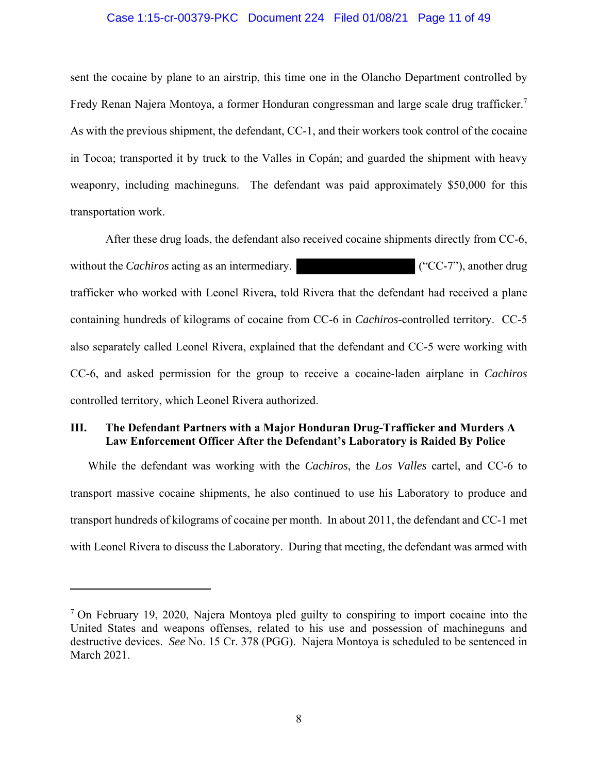#### Case 1:15-cr-00379-PKC Document 224 Filed 01/08/21 Page 11 of 49

sent the cocaine by plane to an airstrip, this time one in the Olancho Department controlled by Fredy Renan Najera Montoya, a former Honduran congressman and large scale drug trafficker.<sup>7</sup> As with the previous shipment, the defendant, CC-1, and their workers took control of the cocaine in Tocoa; transported it by truck to the Valles in Copán; and guarded the shipment with heavy weaponry, including machineguns. The defendant was paid approximately \$50,000 for this transportation work.

After these drug loads, the defendant also received cocaine shipments directly from CC-6, without the *Cachiros* acting as an intermediary. ("CC-7"), another drug trafficker who worked with Leonel Rivera, told Rivera that the defendant had received a plane containing hundreds of kilograms of cocaine from CC-6 in *Cachiros*-controlled territory. CC-5 also separately called Leonel Rivera, explained that the defendant and CC-5 were working with CC-6, and asked permission for the group to receive a cocaine-laden airplane in *Cachiros*  controlled territory, which Leonel Rivera authorized.

## **III. The Defendant Partners with a Major Honduran Drug-Trafficker and Murders A Law Enforcement Officer After the Defendant's Laboratory is Raided By Police**

While the defendant was working with the *Cachiros*, the *Los Valles* cartel, and CC-6 to transport massive cocaine shipments, he also continued to use his Laboratory to produce and transport hundreds of kilograms of cocaine per month. In about 2011, the defendant and CC-1 met with Leonel Rivera to discuss the Laboratory. During that meeting, the defendant was armed with

<u>.</u>

 $7$  On February 19, 2020, Najera Montoya pled guilty to conspiring to import cocaine into the United States and weapons offenses, related to his use and possession of machineguns and destructive devices. *See* No. 15 Cr. 378 (PGG). Najera Montoya is scheduled to be sentenced in March 2021.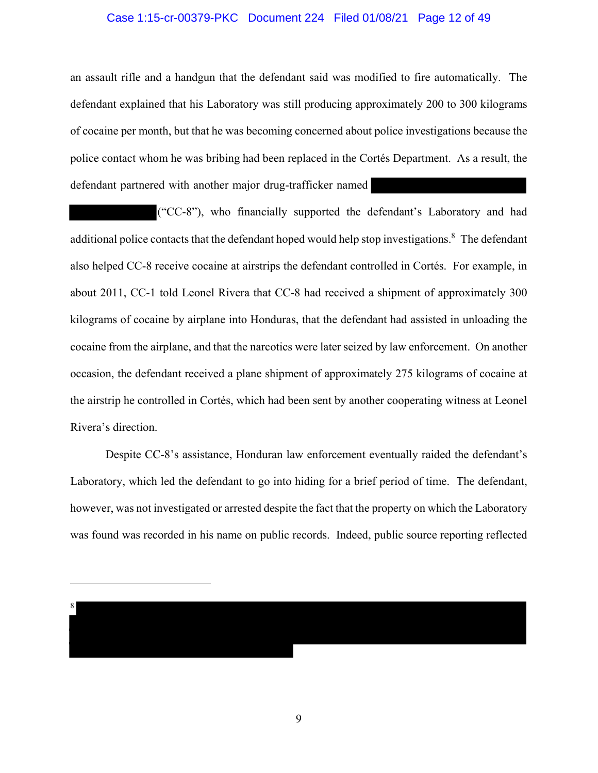#### Case 1:15-cr-00379-PKC Document 224 Filed 01/08/21 Page 12 of 49

an assault rifle and a handgun that the defendant said was modified to fire automatically. The defendant explained that his Laboratory was still producing approximately 200 to 300 kilograms of cocaine per month, but that he was becoming concerned about police investigations because the police contact whom he was bribing had been replaced in the Cortés Department. As a result, the defendant partnered with another major drug-trafficker named

("CC-8"), who financially supported the defendant's Laboratory and had additional police contacts that the defendant hoped would help stop investigations.<sup>8</sup> The defendant also helped CC-8 receive cocaine at airstrips the defendant controlled in Cortés. For example, in about 2011, CC-1 told Leonel Rivera that CC-8 had received a shipment of approximately 300 kilograms of cocaine by airplane into Honduras, that the defendant had assisted in unloading the cocaine from the airplane, and that the narcotics were later seized by law enforcement. On another occasion, the defendant received a plane shipment of approximately 275 kilograms of cocaine at the airstrip he controlled in Cortés, which had been sent by another cooperating witness at Leonel Rivera's direction.

Despite CC-8's assistance, Honduran law enforcement eventually raided the defendant's Laboratory, which led the defendant to go into hiding for a brief period of time. The defendant, however, was not investigated or arrested despite the fact that the property on which the Laboratory was found was recorded in his name on public records. Indeed, public source reporting reflected

8

 $\overline{a}$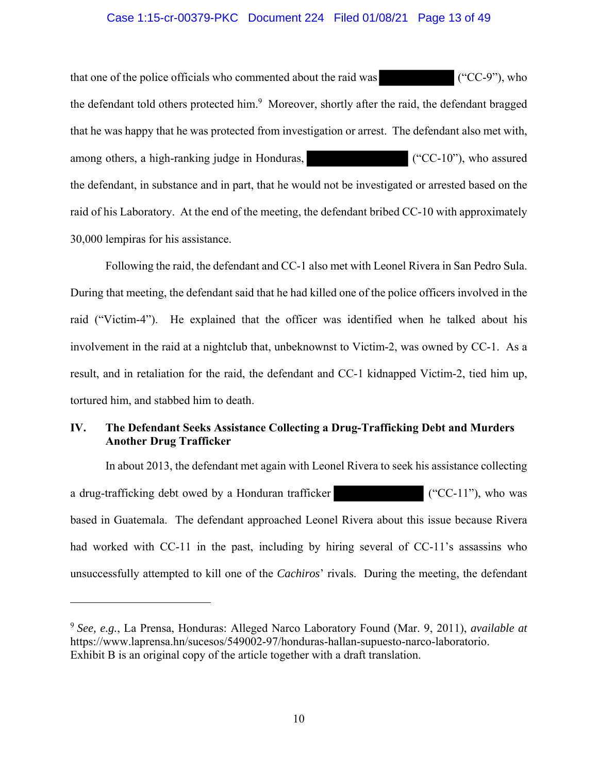#### Case 1:15-cr-00379-PKC Document 224 Filed 01/08/21 Page 13 of 49

that one of the police officials who commented about the raid was ("CC-9"), who the defendant told others protected him.<sup>9</sup> Moreover, shortly after the raid, the defendant bragged that he was happy that he was protected from investigation or arrest. The defendant also met with, among others, a high-ranking judge in Honduras,  $(°CC-10")$ , who assured the defendant, in substance and in part, that he would not be investigated or arrested based on the raid of his Laboratory. At the end of the meeting, the defendant bribed CC-10 with approximately 30,000 lempiras for his assistance.

Following the raid, the defendant and CC-1 also met with Leonel Rivera in San Pedro Sula. During that meeting, the defendant said that he had killed one of the police officers involved in the raid ("Victim-4"). He explained that the officer was identified when he talked about his involvement in the raid at a nightclub that, unbeknownst to Victim-2, was owned by CC-1. As a result, and in retaliation for the raid, the defendant and CC-1 kidnapped Victim-2, tied him up, tortured him, and stabbed him to death.

## **IV. The Defendant Seeks Assistance Collecting a Drug-Trafficking Debt and Murders Another Drug Trafficker**

In about 2013, the defendant met again with Leonel Rivera to seek his assistance collecting a drug-trafficking debt owed by a Honduran trafficker ("CC-11"), who was based in Guatemala. The defendant approached Leonel Rivera about this issue because Rivera had worked with CC-11 in the past, including by hiring several of CC-11's assassins who unsuccessfully attempted to kill one of the *Cachiros*' rivals. During the meeting, the defendant

 $\overline{a}$ 

<sup>9</sup> *See, e.g.*, La Prensa, Honduras: Alleged Narco Laboratory Found (Mar. 9, 2011), *available at* https://www.laprensa.hn/sucesos/549002-97/honduras-hallan-supuesto-narco-laboratorio. Exhibit B is an original copy of the article together with a draft translation.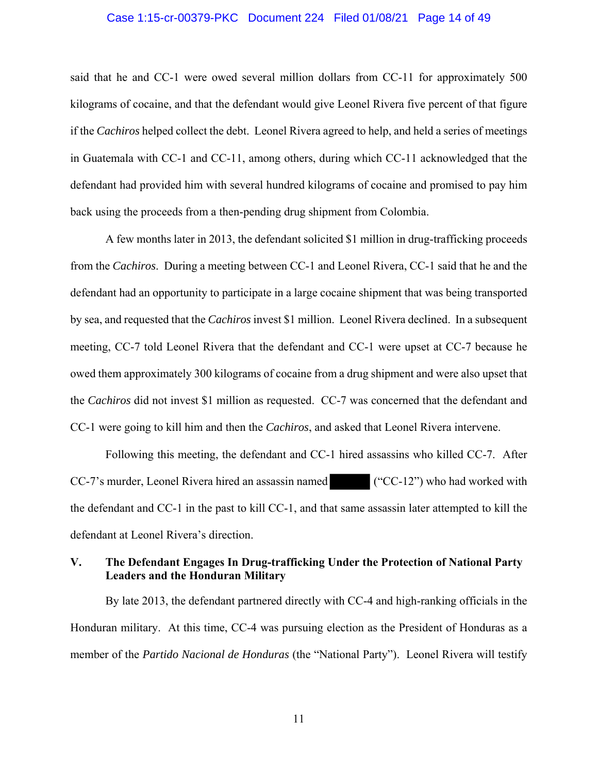#### Case 1:15-cr-00379-PKC Document 224 Filed 01/08/21 Page 14 of 49

said that he and CC-1 were owed several million dollars from CC-11 for approximately 500 kilograms of cocaine, and that the defendant would give Leonel Rivera five percent of that figure if the *Cachiros* helped collect the debt. Leonel Rivera agreed to help, and held a series of meetings in Guatemala with CC-1 and CC-11, among others, during which CC-11 acknowledged that the defendant had provided him with several hundred kilograms of cocaine and promised to pay him back using the proceeds from a then-pending drug shipment from Colombia.

A few months later in 2013, the defendant solicited \$1 million in drug-trafficking proceeds from the *Cachiros*. During a meeting between CC-1 and Leonel Rivera, CC-1 said that he and the defendant had an opportunity to participate in a large cocaine shipment that was being transported by sea, and requested that the *Cachiros* invest \$1 million. Leonel Rivera declined. In a subsequent meeting, CC-7 told Leonel Rivera that the defendant and CC-1 were upset at CC-7 because he owed them approximately 300 kilograms of cocaine from a drug shipment and were also upset that the *Cachiros* did not invest \$1 million as requested. CC-7 was concerned that the defendant and CC-1 were going to kill him and then the *Cachiros*, and asked that Leonel Rivera intervene.

Following this meeting, the defendant and CC-1 hired assassins who killed CC-7. After CC-7's murder, Leonel Rivera hired an assassin named ("CC-12") who had worked with the defendant and CC-1 in the past to kill CC-1, and that same assassin later attempted to kill the defendant at Leonel Rivera's direction.

## **V. The Defendant Engages In Drug-trafficking Under the Protection of National Party Leaders and the Honduran Military**

By late 2013, the defendant partnered directly with CC-4 and high-ranking officials in the Honduran military. At this time, CC-4 was pursuing election as the President of Honduras as a member of the *Partido Nacional de Honduras* (the "National Party"). Leonel Rivera will testify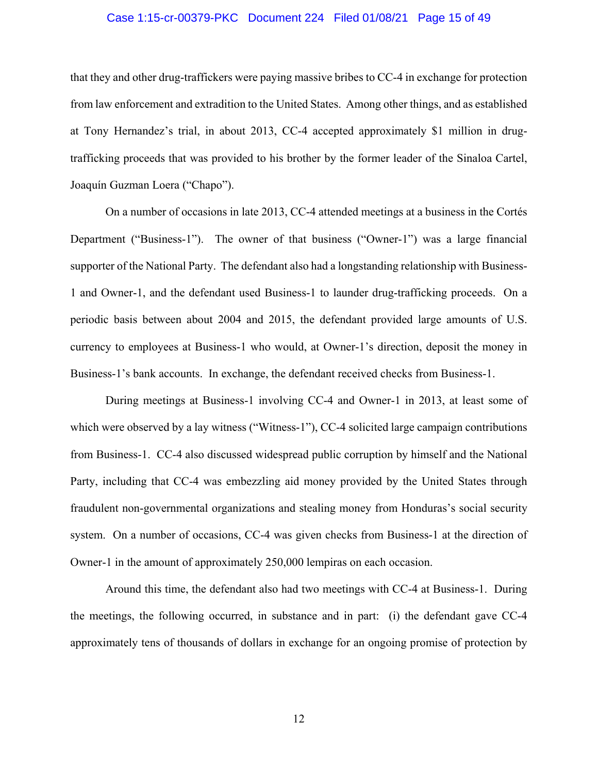#### Case 1:15-cr-00379-PKC Document 224 Filed 01/08/21 Page 15 of 49

that they and other drug-traffickers were paying massive bribes to CC-4 in exchange for protection from law enforcement and extradition to the United States. Among other things, and as established at Tony Hernandez's trial, in about 2013, CC-4 accepted approximately \$1 million in drugtrafficking proceeds that was provided to his brother by the former leader of the Sinaloa Cartel, Joaquín Guzman Loera ("Chapo").

On a number of occasions in late 2013, CC-4 attended meetings at a business in the Cortés Department ("Business-1"). The owner of that business ("Owner-1") was a large financial supporter of the National Party. The defendant also had a longstanding relationship with Business-1 and Owner-1, and the defendant used Business-1 to launder drug-trafficking proceeds. On a periodic basis between about 2004 and 2015, the defendant provided large amounts of U.S. currency to employees at Business-1 who would, at Owner-1's direction, deposit the money in Business-1's bank accounts. In exchange, the defendant received checks from Business-1.

During meetings at Business-1 involving CC-4 and Owner-1 in 2013, at least some of which were observed by a lay witness ("Witness-1"), CC-4 solicited large campaign contributions from Business-1. CC-4 also discussed widespread public corruption by himself and the National Party, including that CC-4 was embezzling aid money provided by the United States through fraudulent non-governmental organizations and stealing money from Honduras's social security system. On a number of occasions, CC-4 was given checks from Business-1 at the direction of Owner-1 in the amount of approximately 250,000 lempiras on each occasion.

Around this time, the defendant also had two meetings with CC-4 at Business-1. During the meetings, the following occurred, in substance and in part: (i) the defendant gave CC-4 approximately tens of thousands of dollars in exchange for an ongoing promise of protection by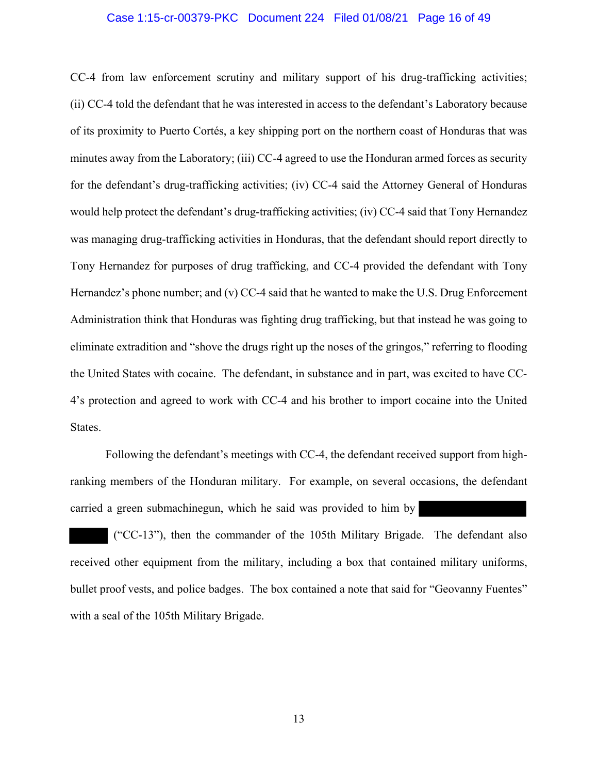#### Case 1:15-cr-00379-PKC Document 224 Filed 01/08/21 Page 16 of 49

CC-4 from law enforcement scrutiny and military support of his drug-trafficking activities; (ii) CC-4 told the defendant that he was interested in access to the defendant's Laboratory because of its proximity to Puerto Cortés, a key shipping port on the northern coast of Honduras that was minutes away from the Laboratory; (iii) CC-4 agreed to use the Honduran armed forces as security for the defendant's drug-trafficking activities; (iv) CC-4 said the Attorney General of Honduras would help protect the defendant's drug-trafficking activities; (iv) CC-4 said that Tony Hernandez was managing drug-trafficking activities in Honduras, that the defendant should report directly to Tony Hernandez for purposes of drug trafficking, and CC-4 provided the defendant with Tony Hernandez's phone number; and (v) CC-4 said that he wanted to make the U.S. Drug Enforcement Administration think that Honduras was fighting drug trafficking, but that instead he was going to eliminate extradition and "shove the drugs right up the noses of the gringos," referring to flooding the United States with cocaine. The defendant, in substance and in part, was excited to have CC-4's protection and agreed to work with CC-4 and his brother to import cocaine into the United States.

Following the defendant's meetings with CC-4, the defendant received support from highranking members of the Honduran military. For example, on several occasions, the defendant carried a green submachinegun, which he said was provided to him by

 ("CC-13"), then the commander of the 105th Military Brigade. The defendant also received other equipment from the military, including a box that contained military uniforms, bullet proof vests, and police badges. The box contained a note that said for "Geovanny Fuentes" with a seal of the 105th Military Brigade.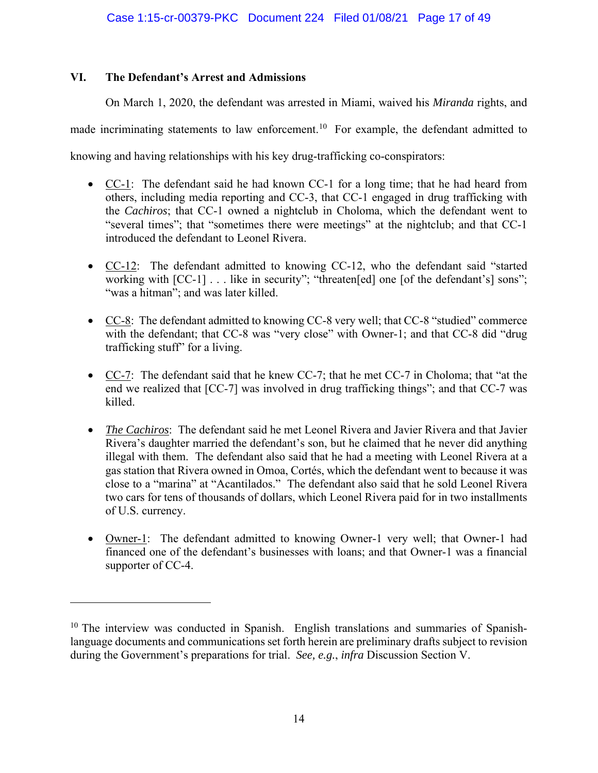## **VI. The Defendant's Arrest and Admissions**

 $\overline{a}$ 

On March 1, 2020, the defendant was arrested in Miami, waived his *Miranda* rights, and

made incriminating statements to law enforcement.<sup>10</sup> For example, the defendant admitted to

knowing and having relationships with his key drug-trafficking co-conspirators:

- CC-1: The defendant said he had known CC-1 for a long time; that he had heard from others, including media reporting and CC-3, that CC-1 engaged in drug trafficking with the *Cachiros*; that CC-1 owned a nightclub in Choloma, which the defendant went to "several times"; that "sometimes there were meetings" at the nightclub; and that CC-1 introduced the defendant to Leonel Rivera.
- CC-12: The defendant admitted to knowing CC-12, who the defendant said "started working with  $[CC-1]$ ... like in security"; "threaten [ed] one [of the defendant's] sons"; "was a hitman"; and was later killed.
- $\bullet$  CC-8: The defendant admitted to knowing CC-8 very well; that CC-8 "studied" commerce with the defendant; that CC-8 was "very close" with Owner-1; and that CC-8 did "drug" trafficking stuff" for a living.
- $\bullet$  CC-7: The defendant said that he knew CC-7; that he met CC-7 in Choloma; that "at the end we realized that [CC-7] was involved in drug trafficking things"; and that CC-7 was killed.
- *The Cachiros*: The defendant said he met Leonel Rivera and Javier Rivera and that Javier Rivera's daughter married the defendant's son, but he claimed that he never did anything illegal with them. The defendant also said that he had a meeting with Leonel Rivera at a gas station that Rivera owned in Omoa, Cortés, which the defendant went to because it was close to a "marina" at "Acantilados." The defendant also said that he sold Leonel Rivera two cars for tens of thousands of dollars, which Leonel Rivera paid for in two installments of U.S. currency.
- Owner-1: The defendant admitted to knowing Owner-1 very well; that Owner-1 had financed one of the defendant's businesses with loans; and that Owner-1 was a financial supporter of CC-4.

 $10$  The interview was conducted in Spanish. English translations and summaries of Spanishlanguage documents and communications set forth herein are preliminary drafts subject to revision during the Government's preparations for trial. *See, e.g.*, *infra* Discussion Section V.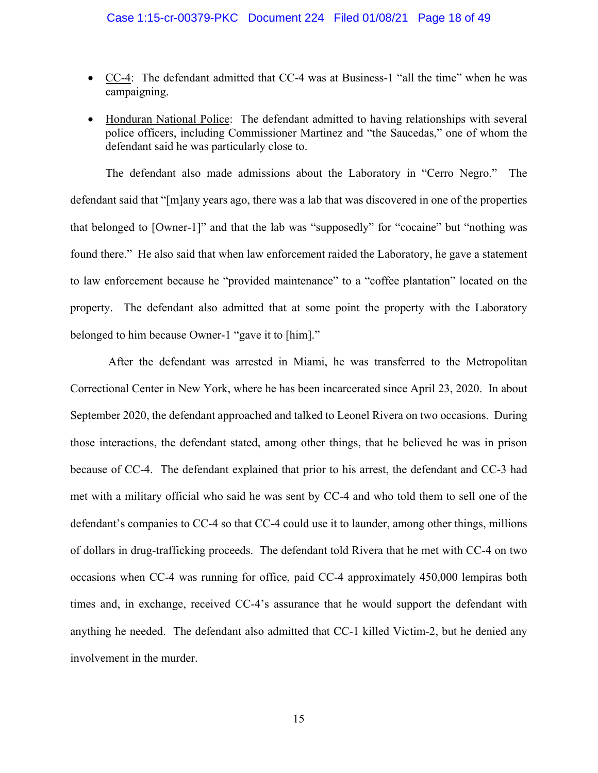- CC-4: The defendant admitted that CC-4 was at Business-1 "all the time" when he was campaigning.
- Honduran National Police: The defendant admitted to having relationships with several police officers, including Commissioner Martinez and "the Saucedas," one of whom the defendant said he was particularly close to.

The defendant also made admissions about the Laboratory in "Cerro Negro." The defendant said that "[m]any years ago, there was a lab that was discovered in one of the properties that belonged to [Owner-1]" and that the lab was "supposedly" for "cocaine" but "nothing was found there." He also said that when law enforcement raided the Laboratory, he gave a statement to law enforcement because he "provided maintenance" to a "coffee plantation" located on the property. The defendant also admitted that at some point the property with the Laboratory belonged to him because Owner-1 "gave it to [him]."

 After the defendant was arrested in Miami, he was transferred to the Metropolitan Correctional Center in New York, where he has been incarcerated since April 23, 2020. In about September 2020, the defendant approached and talked to Leonel Rivera on two occasions. During those interactions, the defendant stated, among other things, that he believed he was in prison because of CC-4. The defendant explained that prior to his arrest, the defendant and CC-3 had met with a military official who said he was sent by CC-4 and who told them to sell one of the defendant's companies to CC-4 so that CC-4 could use it to launder, among other things, millions of dollars in drug-trafficking proceeds. The defendant told Rivera that he met with CC-4 on two occasions when CC-4 was running for office, paid CC-4 approximately 450,000 lempiras both times and, in exchange, received CC-4's assurance that he would support the defendant with anything he needed. The defendant also admitted that CC-1 killed Victim-2, but he denied any involvement in the murder.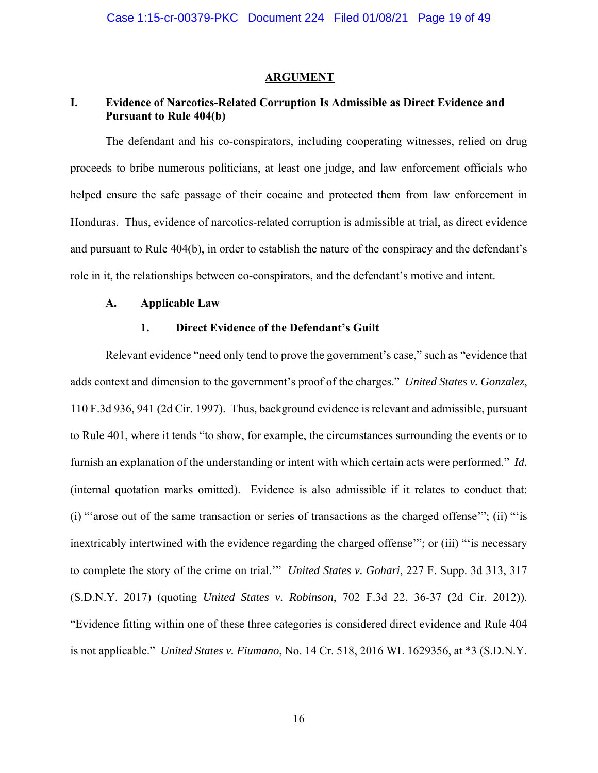#### **ARGUMENT**

## **I. Evidence of Narcotics-Related Corruption Is Admissible as Direct Evidence and Pursuant to Rule 404(b)**

The defendant and his co-conspirators, including cooperating witnesses, relied on drug proceeds to bribe numerous politicians, at least one judge, and law enforcement officials who helped ensure the safe passage of their cocaine and protected them from law enforcement in Honduras. Thus, evidence of narcotics-related corruption is admissible at trial, as direct evidence and pursuant to Rule 404(b), in order to establish the nature of the conspiracy and the defendant's role in it, the relationships between co-conspirators, and the defendant's motive and intent.

#### **A. Applicable Law**

### **1. Direct Evidence of the Defendant's Guilt**

Relevant evidence "need only tend to prove the government's case," such as "evidence that adds context and dimension to the government's proof of the charges." *United States v. Gonzalez*, 110 F.3d 936, 941 (2d Cir. 1997). Thus, background evidence is relevant and admissible, pursuant to Rule 401, where it tends "to show, for example, the circumstances surrounding the events or to furnish an explanation of the understanding or intent with which certain acts were performed." *Id.* (internal quotation marks omitted). Evidence is also admissible if it relates to conduct that: (i) "'arose out of the same transaction or series of transactions as the charged offense'"; (ii) "'is inextricably intertwined with the evidence regarding the charged offense'"; or (iii) "'is necessary to complete the story of the crime on trial.'" *United States v. Gohari*, 227 F. Supp. 3d 313, 317 (S.D.N.Y. 2017) (quoting *United States v. Robinson*, 702 F.3d 22, 36-37 (2d Cir. 2012)). "Evidence fitting within one of these three categories is considered direct evidence and Rule 404 is not applicable." *United States v. Fiumano*, No. 14 Cr. 518, 2016 WL 1629356, at \*3 (S.D.N.Y.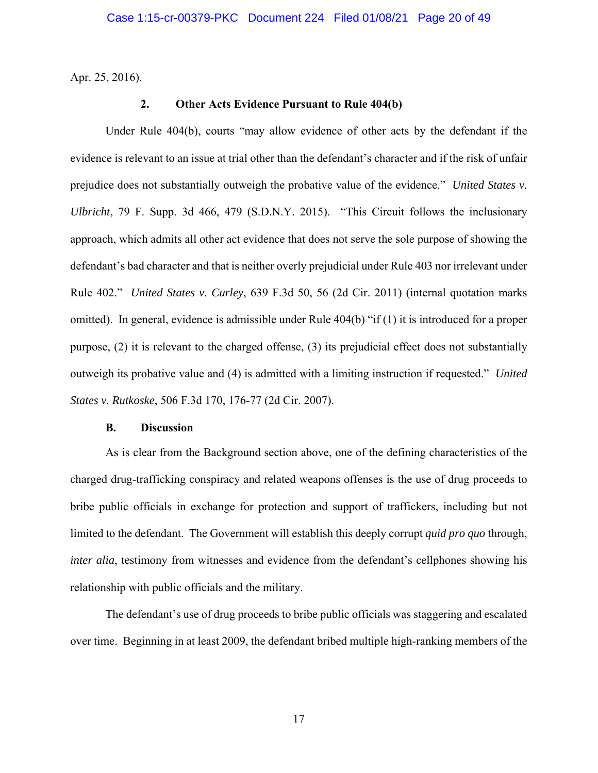Apr. 25, 2016).

### **2. Other Acts Evidence Pursuant to Rule 404(b)**

Under Rule 404(b), courts "may allow evidence of other acts by the defendant if the evidence is relevant to an issue at trial other than the defendant's character and if the risk of unfair prejudice does not substantially outweigh the probative value of the evidence." *United States v. Ulbricht*, 79 F. Supp. 3d 466, 479 (S.D.N.Y. 2015). "This Circuit follows the inclusionary approach, which admits all other act evidence that does not serve the sole purpose of showing the defendant's bad character and that is neither overly prejudicial under Rule 403 nor irrelevant under Rule 402." *United States v. Curley*, 639 F.3d 50, 56 (2d Cir. 2011) (internal quotation marks omitted). In general, evidence is admissible under Rule 404(b) "if (1) it is introduced for a proper purpose, (2) it is relevant to the charged offense, (3) its prejudicial effect does not substantially outweigh its probative value and (4) is admitted with a limiting instruction if requested." *United States v. Rutkoske*, 506 F.3d 170, 176-77 (2d Cir. 2007).

#### **B. Discussion**

As is clear from the Background section above, one of the defining characteristics of the charged drug-trafficking conspiracy and related weapons offenses is the use of drug proceeds to bribe public officials in exchange for protection and support of traffickers, including but not limited to the defendant. The Government will establish this deeply corrupt *quid pro quo* through, *inter alia*, testimony from witnesses and evidence from the defendant's cellphones showing his relationship with public officials and the military.

The defendant's use of drug proceeds to bribe public officials was staggering and escalated over time. Beginning in at least 2009, the defendant bribed multiple high-ranking members of the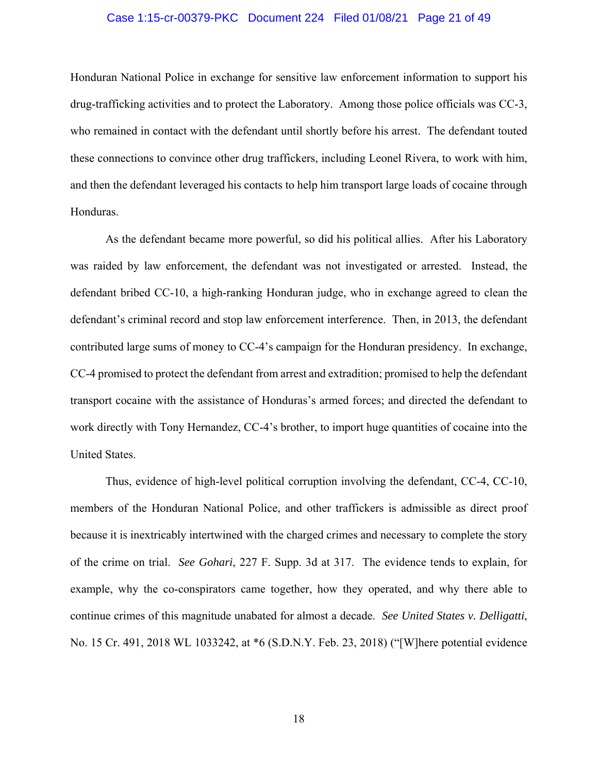#### Case 1:15-cr-00379-PKC Document 224 Filed 01/08/21 Page 21 of 49

Honduran National Police in exchange for sensitive law enforcement information to support his drug-trafficking activities and to protect the Laboratory. Among those police officials was CC-3, who remained in contact with the defendant until shortly before his arrest. The defendant touted these connections to convince other drug traffickers, including Leonel Rivera, to work with him, and then the defendant leveraged his contacts to help him transport large loads of cocaine through Honduras.

As the defendant became more powerful, so did his political allies. After his Laboratory was raided by law enforcement, the defendant was not investigated or arrested. Instead, the defendant bribed CC-10, a high-ranking Honduran judge, who in exchange agreed to clean the defendant's criminal record and stop law enforcement interference. Then, in 2013, the defendant contributed large sums of money to CC-4's campaign for the Honduran presidency. In exchange, CC-4 promised to protect the defendant from arrest and extradition; promised to help the defendant transport cocaine with the assistance of Honduras's armed forces; and directed the defendant to work directly with Tony Hernandez, CC-4's brother, to import huge quantities of cocaine into the United States.

Thus, evidence of high-level political corruption involving the defendant, CC-4, CC-10, members of the Honduran National Police, and other traffickers is admissible as direct proof because it is inextricably intertwined with the charged crimes and necessary to complete the story of the crime on trial. *See Gohari*, 227 F. Supp. 3d at 317. The evidence tends to explain, for example, why the co-conspirators came together, how they operated, and why there able to continue crimes of this magnitude unabated for almost a decade. *See United States v. Delligatti*, No. 15 Cr. 491, 2018 WL 1033242, at \*6 (S.D.N.Y. Feb. 23, 2018) ("[W]here potential evidence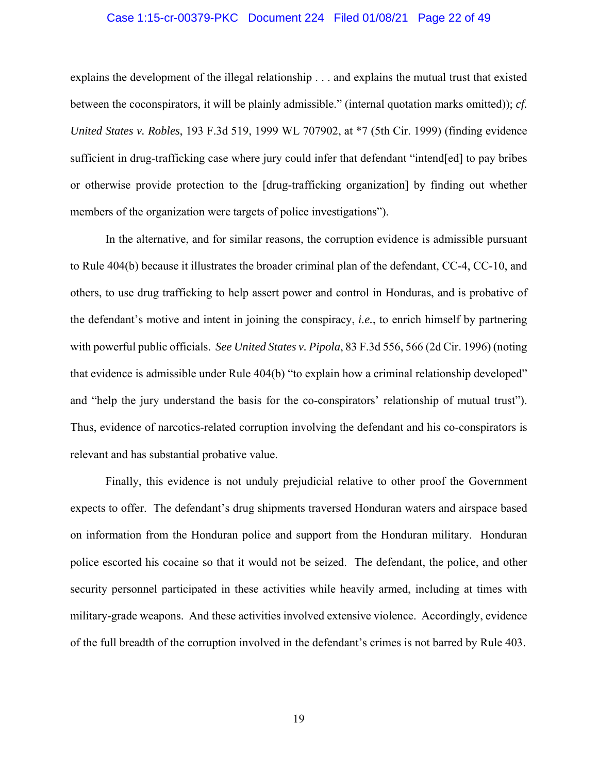#### Case 1:15-cr-00379-PKC Document 224 Filed 01/08/21 Page 22 of 49

explains the development of the illegal relationship . . . and explains the mutual trust that existed between the coconspirators, it will be plainly admissible." (internal quotation marks omitted)); *cf. United States v. Robles*, 193 F.3d 519, 1999 WL 707902, at \*7 (5th Cir. 1999) (finding evidence sufficient in drug-trafficking case where jury could infer that defendant "intend[ed] to pay bribes or otherwise provide protection to the [drug-trafficking organization] by finding out whether members of the organization were targets of police investigations").

In the alternative, and for similar reasons, the corruption evidence is admissible pursuant to Rule 404(b) because it illustrates the broader criminal plan of the defendant, CC-4, CC-10, and others, to use drug trafficking to help assert power and control in Honduras, and is probative of the defendant's motive and intent in joining the conspiracy, *i.e.*, to enrich himself by partnering with powerful public officials. *See United States v. Pipola*, 83 F.3d 556, 566 (2d Cir. 1996) (noting that evidence is admissible under Rule 404(b) "to explain how a criminal relationship developed" and "help the jury understand the basis for the co-conspirators' relationship of mutual trust"). Thus, evidence of narcotics-related corruption involving the defendant and his co-conspirators is relevant and has substantial probative value.

Finally, this evidence is not unduly prejudicial relative to other proof the Government expects to offer. The defendant's drug shipments traversed Honduran waters and airspace based on information from the Honduran police and support from the Honduran military. Honduran police escorted his cocaine so that it would not be seized. The defendant, the police, and other security personnel participated in these activities while heavily armed, including at times with military-grade weapons. And these activities involved extensive violence. Accordingly, evidence of the full breadth of the corruption involved in the defendant's crimes is not barred by Rule 403.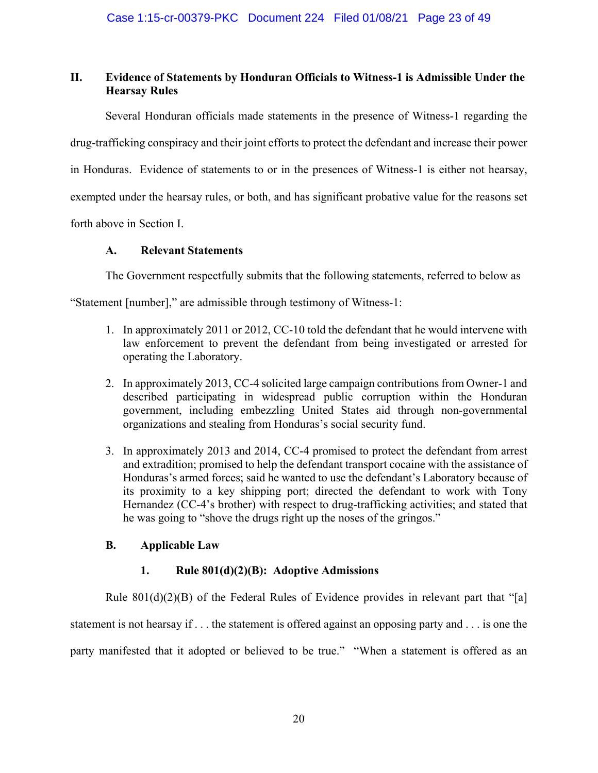## **II. Evidence of Statements by Honduran Officials to Witness-1 is Admissible Under the Hearsay Rules**

Several Honduran officials made statements in the presence of Witness-1 regarding the drug-trafficking conspiracy and their joint efforts to protect the defendant and increase their power in Honduras. Evidence of statements to or in the presences of Witness-1 is either not hearsay, exempted under the hearsay rules, or both, and has significant probative value for the reasons set forth above in Section I.

## **A. Relevant Statements**

The Government respectfully submits that the following statements, referred to below as

"Statement [number]," are admissible through testimony of Witness-1:

- 1. In approximately 2011 or 2012, CC-10 told the defendant that he would intervene with law enforcement to prevent the defendant from being investigated or arrested for operating the Laboratory.
- 2. In approximately 2013, CC-4 solicited large campaign contributions from Owner-1 and described participating in widespread public corruption within the Honduran government, including embezzling United States aid through non-governmental organizations and stealing from Honduras's social security fund.
- 3. In approximately 2013 and 2014, CC-4 promised to protect the defendant from arrest and extradition; promised to help the defendant transport cocaine with the assistance of Honduras's armed forces; said he wanted to use the defendant's Laboratory because of its proximity to a key shipping port; directed the defendant to work with Tony Hernandez (CC-4's brother) with respect to drug-trafficking activities; and stated that he was going to "shove the drugs right up the noses of the gringos."

## **B. Applicable Law**

## **1. Rule 801(d)(2)(B): Adoptive Admissions**

Rule  $801(d)(2)(B)$  of the Federal Rules of Evidence provides in relevant part that "[a] statement is not hearsay if . . . the statement is offered against an opposing party and . . . is one the party manifested that it adopted or believed to be true." "When a statement is offered as an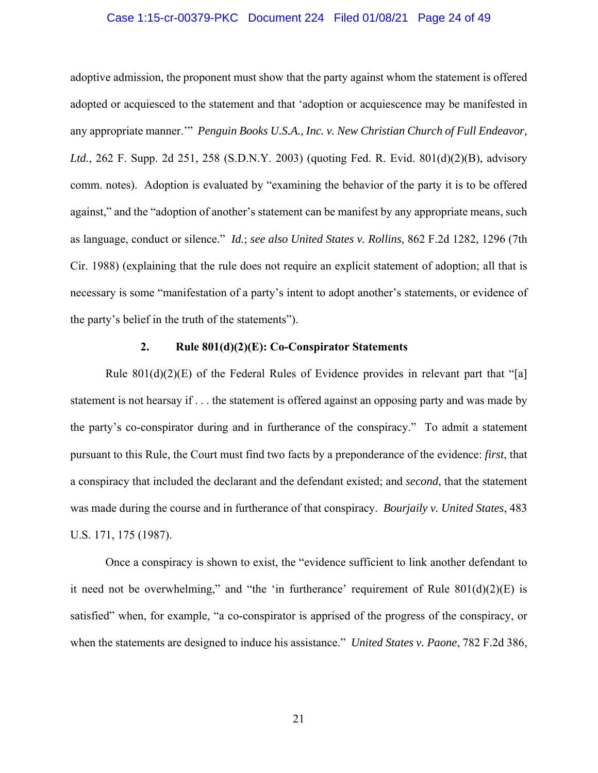#### Case 1:15-cr-00379-PKC Document 224 Filed 01/08/21 Page 24 of 49

adoptive admission, the proponent must show that the party against whom the statement is offered adopted or acquiesced to the statement and that 'adoption or acquiescence may be manifested in any appropriate manner.'" *Penguin Books U.S.A., Inc. v. New Christian Church of Full Endeavor, Ltd.*, 262 F. Supp. 2d 251, 258 (S.D.N.Y. 2003) (quoting Fed. R. Evid. 801(d)(2)(B), advisory comm. notes). Adoption is evaluated by "examining the behavior of the party it is to be offered against," and the "adoption of another's statement can be manifest by any appropriate means, such as language, conduct or silence." *Id.*; *see also United States v. Rollins*, 862 F.2d 1282, 1296 (7th Cir. 1988) (explaining that the rule does not require an explicit statement of adoption; all that is necessary is some "manifestation of a party's intent to adopt another's statements, or evidence of the party's belief in the truth of the statements").

#### **2. Rule 801(d)(2)(E): Co-Conspirator Statements**

Rule  $801(d)(2)(E)$  of the Federal Rules of Evidence provides in relevant part that "[a] statement is not hearsay if . . . the statement is offered against an opposing party and was made by the party's co-conspirator during and in furtherance of the conspiracy." To admit a statement pursuant to this Rule, the Court must find two facts by a preponderance of the evidence: *first*, that a conspiracy that included the declarant and the defendant existed; and *second*, that the statement was made during the course and in furtherance of that conspiracy. *Bourjaily v. United States*, 483 U.S. 171, 175 (1987).

Once a conspiracy is shown to exist, the "evidence sufficient to link another defendant to it need not be overwhelming," and "the 'in furtherance' requirement of Rule  $801(d)(2)(E)$  is satisfied" when, for example, "a co-conspirator is apprised of the progress of the conspiracy, or when the statements are designed to induce his assistance." *United States v. Paone*, 782 F.2d 386,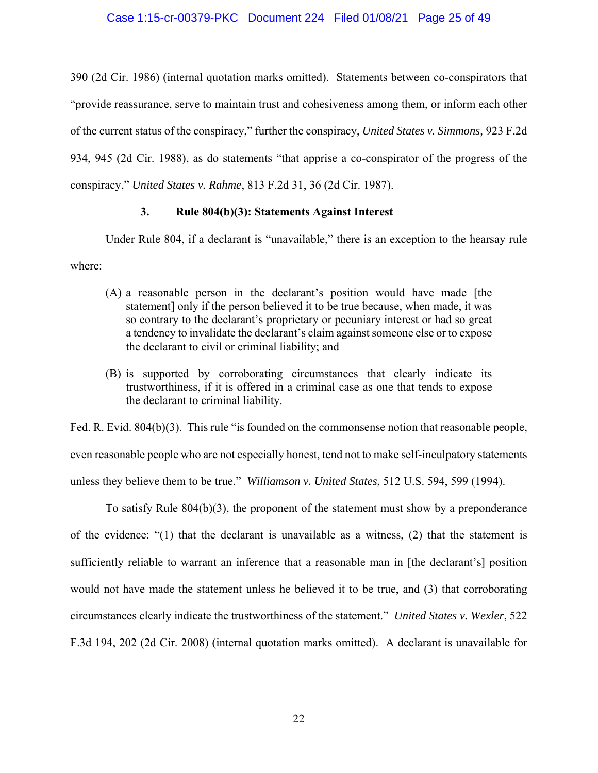390 (2d Cir. 1986) (internal quotation marks omitted). Statements between co-conspirators that "provide reassurance, serve to maintain trust and cohesiveness among them, or inform each other of the current status of the conspiracy," further the conspiracy, *United States v. Simmons,* 923 F.2d 934, 945 (2d Cir. 1988), as do statements "that apprise a co-conspirator of the progress of the conspiracy," *United States v. Rahme*, 813 F.2d 31, 36 (2d Cir. 1987).

## **3. Rule 804(b)(3): Statements Against Interest**

Under Rule 804, if a declarant is "unavailable," there is an exception to the hearsay rule where:

- (A) a reasonable person in the declarant's position would have made [the statement] only if the person believed it to be true because, when made, it was so contrary to the declarant's proprietary or pecuniary interest or had so great a tendency to invalidate the declarant's claim against someone else or to expose the declarant to civil or criminal liability; and
- (B) is supported by corroborating circumstances that clearly indicate its trustworthiness, if it is offered in a criminal case as one that tends to expose the declarant to criminal liability.

Fed. R. Evid. 804(b)(3). This rule "is founded on the commonsense notion that reasonable people, even reasonable people who are not especially honest, tend not to make self-inculpatory statements unless they believe them to be true." *Williamson v. United States*, 512 U.S. 594, 599 (1994).

To satisfy Rule 804(b)(3), the proponent of the statement must show by a preponderance of the evidence: "(1) that the declarant is unavailable as a witness, (2) that the statement is sufficiently reliable to warrant an inference that a reasonable man in [the declarant's] position would not have made the statement unless he believed it to be true, and (3) that corroborating circumstances clearly indicate the trustworthiness of the statement." *United States v. Wexler*, 522 F.3d 194, 202 (2d Cir. 2008) (internal quotation marks omitted). A declarant is unavailable for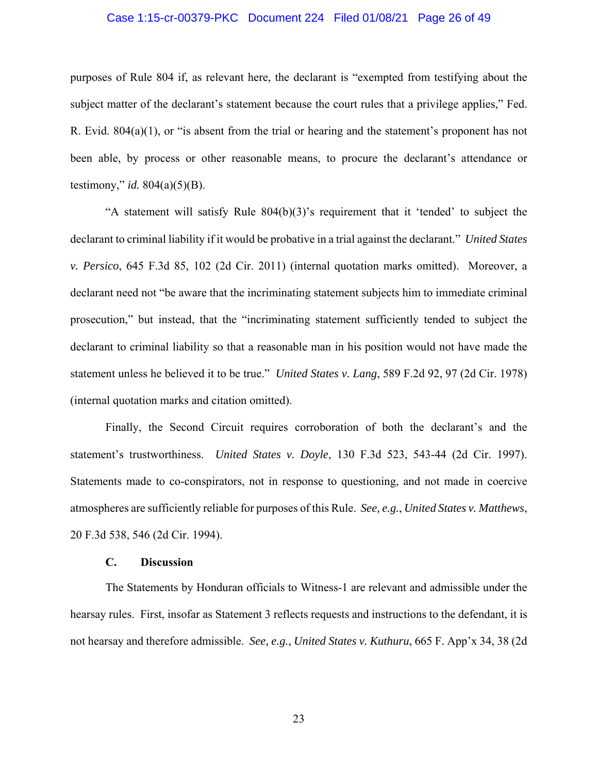#### Case 1:15-cr-00379-PKC Document 224 Filed 01/08/21 Page 26 of 49

purposes of Rule 804 if, as relevant here, the declarant is "exempted from testifying about the subject matter of the declarant's statement because the court rules that a privilege applies," Fed. R. Evid. 804(a)(1), or "is absent from the trial or hearing and the statement's proponent has not been able, by process or other reasonable means, to procure the declarant's attendance or testimony," *id.* 804(a)(5)(B).

"A statement will satisfy Rule 804(b)(3)'s requirement that it 'tended' to subject the declarant to criminal liability if it would be probative in a trial against the declarant." *United States v. Persico*, 645 F.3d 85, 102 (2d Cir. 2011) (internal quotation marks omitted). Moreover, a declarant need not "be aware that the incriminating statement subjects him to immediate criminal prosecution," but instead, that the "incriminating statement sufficiently tended to subject the declarant to criminal liability so that a reasonable man in his position would not have made the statement unless he believed it to be true." *United States v. Lang*, 589 F.2d 92, 97 (2d Cir. 1978) (internal quotation marks and citation omitted).

Finally, the Second Circuit requires corroboration of both the declarant's and the statement's trustworthiness. *United States v. Doyle*, 130 F.3d 523, 543-44 (2d Cir. 1997). Statements made to co-conspirators, not in response to questioning, and not made in coercive atmospheres are sufficiently reliable for purposes of this Rule. *See, e.g.*, *United States v. Matthews*, 20 F.3d 538, 546 (2d Cir. 1994).

### **C. Discussion**

The Statements by Honduran officials to Witness-1 are relevant and admissible under the hearsay rules. First, insofar as Statement 3 reflects requests and instructions to the defendant, it is not hearsay and therefore admissible. *See, e.g.*, *United States v. Kuthuru*, 665 F. App'x 34, 38 (2d

23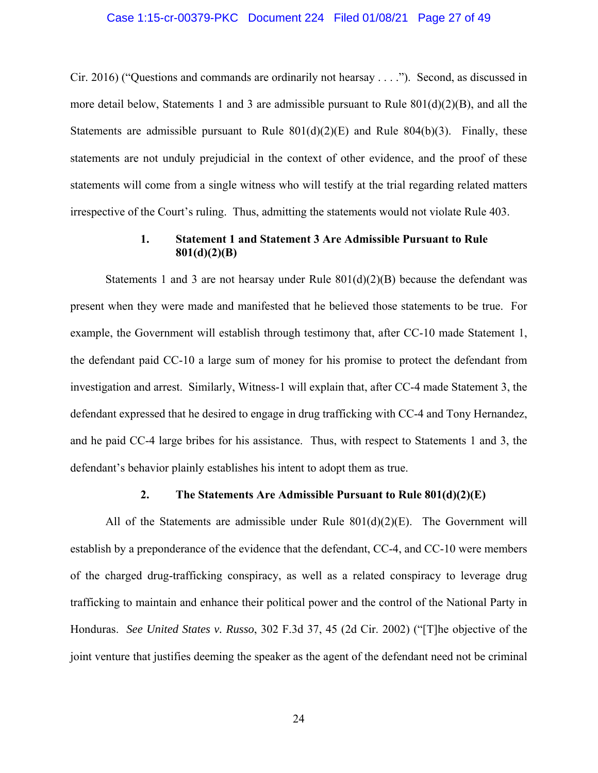#### Case 1:15-cr-00379-PKC Document 224 Filed 01/08/21 Page 27 of 49

Cir. 2016) ("Questions and commands are ordinarily not hearsay . . . ."). Second, as discussed in more detail below, Statements 1 and 3 are admissible pursuant to Rule  $801(d)(2)(B)$ , and all the Statements are admissible pursuant to Rule  $801(d)(2)(E)$  and Rule  $804(b)(3)$ . Finally, these statements are not unduly prejudicial in the context of other evidence, and the proof of these statements will come from a single witness who will testify at the trial regarding related matters irrespective of the Court's ruling. Thus, admitting the statements would not violate Rule 403.

## **1. Statement 1 and Statement 3 Are Admissible Pursuant to Rule 801(d)(2)(B)**

Statements 1 and 3 are not hearsay under Rule  $801(d)(2)(B)$  because the defendant was present when they were made and manifested that he believed those statements to be true. For example, the Government will establish through testimony that, after CC-10 made Statement 1, the defendant paid CC-10 a large sum of money for his promise to protect the defendant from investigation and arrest. Similarly, Witness-1 will explain that, after CC-4 made Statement 3, the defendant expressed that he desired to engage in drug trafficking with CC-4 and Tony Hernandez, and he paid CC-4 large bribes for his assistance. Thus, with respect to Statements 1 and 3, the defendant's behavior plainly establishes his intent to adopt them as true.

### **2. The Statements Are Admissible Pursuant to Rule 801(d)(2)(E)**

All of the Statements are admissible under Rule  $801(d)(2)(E)$ . The Government will establish by a preponderance of the evidence that the defendant, CC-4, and CC-10 were members of the charged drug-trafficking conspiracy, as well as a related conspiracy to leverage drug trafficking to maintain and enhance their political power and the control of the National Party in Honduras. *See United States v. Russo*, 302 F.3d 37, 45 (2d Cir. 2002) ("[T]he objective of the joint venture that justifies deeming the speaker as the agent of the defendant need not be criminal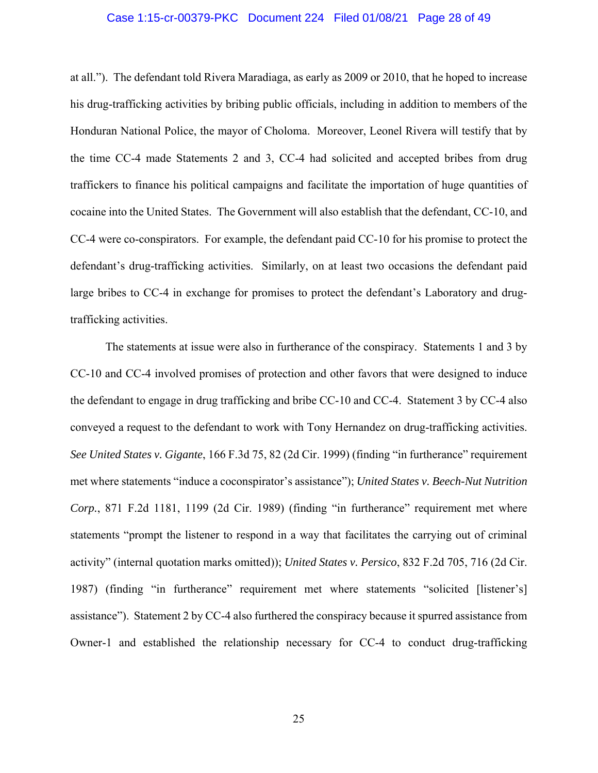#### Case 1:15-cr-00379-PKC Document 224 Filed 01/08/21 Page 28 of 49

at all."). The defendant told Rivera Maradiaga, as early as 2009 or 2010, that he hoped to increase his drug-trafficking activities by bribing public officials, including in addition to members of the Honduran National Police, the mayor of Choloma. Moreover, Leonel Rivera will testify that by the time CC-4 made Statements 2 and 3, CC-4 had solicited and accepted bribes from drug traffickers to finance his political campaigns and facilitate the importation of huge quantities of cocaine into the United States. The Government will also establish that the defendant, CC-10, and CC-4 were co-conspirators. For example, the defendant paid CC-10 for his promise to protect the defendant's drug-trafficking activities. Similarly, on at least two occasions the defendant paid large bribes to CC-4 in exchange for promises to protect the defendant's Laboratory and drugtrafficking activities.

The statements at issue were also in furtherance of the conspiracy. Statements 1 and 3 by CC-10 and CC-4 involved promises of protection and other favors that were designed to induce the defendant to engage in drug trafficking and bribe CC-10 and CC-4. Statement 3 by CC-4 also conveyed a request to the defendant to work with Tony Hernandez on drug-trafficking activities. *See United States v. Gigante*, 166 F.3d 75, 82 (2d Cir. 1999) (finding "in furtherance" requirement met where statements "induce a coconspirator's assistance"); *United States v. Beech-Nut Nutrition Corp.*, 871 F.2d 1181, 1199 (2d Cir. 1989) (finding "in furtherance" requirement met where statements "prompt the listener to respond in a way that facilitates the carrying out of criminal activity" (internal quotation marks omitted)); *United States v. Persico*, 832 F.2d 705, 716 (2d Cir. 1987) (finding "in furtherance" requirement met where statements "solicited [listener's] assistance"). Statement 2 by CC-4 also furthered the conspiracy because it spurred assistance from Owner-1 and established the relationship necessary for CC-4 to conduct drug-trafficking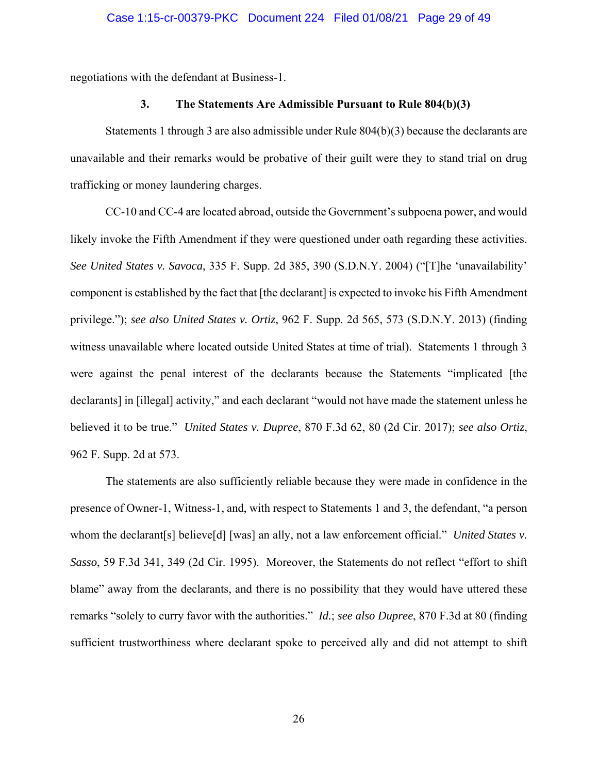negotiations with the defendant at Business-1.

### **3. The Statements Are Admissible Pursuant to Rule 804(b)(3)**

Statements 1 through 3 are also admissible under Rule 804(b)(3) because the declarants are unavailable and their remarks would be probative of their guilt were they to stand trial on drug trafficking or money laundering charges.

CC-10 and CC-4 are located abroad, outside the Government's subpoena power, and would likely invoke the Fifth Amendment if they were questioned under oath regarding these activities. *See United States v. Savoca*, 335 F. Supp. 2d 385, 390 (S.D.N.Y. 2004) ("[T]he 'unavailability' component is established by the fact that [the declarant] is expected to invoke his Fifth Amendment privilege."); *see also United States v. Ortiz*, 962 F. Supp. 2d 565, 573 (S.D.N.Y. 2013) (finding witness unavailable where located outside United States at time of trial). Statements 1 through 3 were against the penal interest of the declarants because the Statements "implicated [the declarants] in [illegal] activity," and each declarant "would not have made the statement unless he believed it to be true." *United States v. Dupree*, 870 F.3d 62, 80 (2d Cir. 2017); *see also Ortiz*, 962 F. Supp. 2d at 573.

The statements are also sufficiently reliable because they were made in confidence in the presence of Owner-1, Witness-1, and, with respect to Statements 1 and 3, the defendant, "a person whom the declarant<sup>[s]</sup> believe<sup>[d]</sup> [was] an ally, not a law enforcement official." *United States v. Sasso*, 59 F.3d 341, 349 (2d Cir. 1995). Moreover, the Statements do not reflect "effort to shift blame" away from the declarants, and there is no possibility that they would have uttered these remarks "solely to curry favor with the authorities." *Id.*; *see also Dupree*, 870 F.3d at 80 (finding sufficient trustworthiness where declarant spoke to perceived ally and did not attempt to shift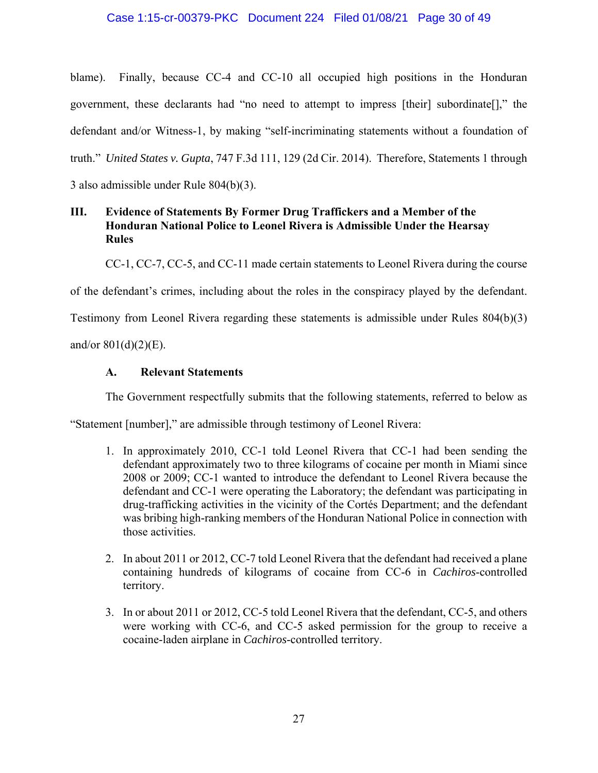### Case 1:15-cr-00379-PKC Document 224 Filed 01/08/21 Page 30 of 49

blame). Finally, because CC-4 and CC-10 all occupied high positions in the Honduran government, these declarants had "no need to attempt to impress [their] subordinate[]," the defendant and/or Witness-1, by making "self-incriminating statements without a foundation of truth." *United States v. Gupta*, 747 F.3d 111, 129 (2d Cir. 2014). Therefore, Statements 1 through 3 also admissible under Rule 804(b)(3).

## **III. Evidence of Statements By Former Drug Traffickers and a Member of the Honduran National Police to Leonel Rivera is Admissible Under the Hearsay Rules**

CC-1, CC-7, CC-5, and CC-11 made certain statements to Leonel Rivera during the course

of the defendant's crimes, including about the roles in the conspiracy played by the defendant.

Testimony from Leonel Rivera regarding these statements is admissible under Rules 804(b)(3)

and/or  $801(d)(2)(E)$ .

### **A. Relevant Statements**

The Government respectfully submits that the following statements, referred to below as

"Statement [number]," are admissible through testimony of Leonel Rivera:

- 1. In approximately 2010, CC-1 told Leonel Rivera that CC-1 had been sending the defendant approximately two to three kilograms of cocaine per month in Miami since 2008 or 2009; CC-1 wanted to introduce the defendant to Leonel Rivera because the defendant and CC-1 were operating the Laboratory; the defendant was participating in drug-trafficking activities in the vicinity of the Cortés Department; and the defendant was bribing high-ranking members of the Honduran National Police in connection with those activities.
- 2. In about 2011 or 2012, CC-7 told Leonel Rivera that the defendant had received a plane containing hundreds of kilograms of cocaine from CC-6 in *Cachiros*-controlled territory.
- 3. In or about 2011 or 2012, CC-5 told Leonel Rivera that the defendant, CC-5, and others were working with CC-6, and CC-5 asked permission for the group to receive a cocaine-laden airplane in *Cachiros*-controlled territory.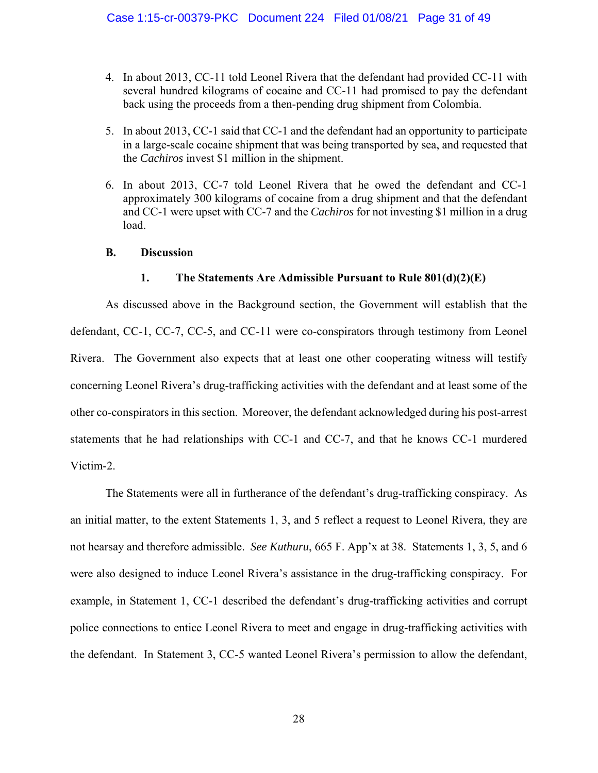- 4. In about 2013, CC-11 told Leonel Rivera that the defendant had provided CC-11 with several hundred kilograms of cocaine and CC-11 had promised to pay the defendant back using the proceeds from a then-pending drug shipment from Colombia.
- 5. In about 2013, CC-1 said that CC-1 and the defendant had an opportunity to participate in a large-scale cocaine shipment that was being transported by sea, and requested that the *Cachiros* invest \$1 million in the shipment.
- 6. In about 2013, CC-7 told Leonel Rivera that he owed the defendant and CC-1 approximately 300 kilograms of cocaine from a drug shipment and that the defendant and CC-1 were upset with CC-7 and the *Cachiros* for not investing \$1 million in a drug load.

### **B. Discussion**

#### **1. The Statements Are Admissible Pursuant to Rule 801(d)(2)(E)**

As discussed above in the Background section, the Government will establish that the defendant, CC-1, CC-7, CC-5, and CC-11 were co-conspirators through testimony from Leonel Rivera. The Government also expects that at least one other cooperating witness will testify concerning Leonel Rivera's drug-trafficking activities with the defendant and at least some of the other co-conspirators in this section. Moreover, the defendant acknowledged during his post-arrest statements that he had relationships with CC-1 and CC-7, and that he knows CC-1 murdered Victim-2.

The Statements were all in furtherance of the defendant's drug-trafficking conspiracy. As an initial matter, to the extent Statements 1, 3, and 5 reflect a request to Leonel Rivera, they are not hearsay and therefore admissible. *See Kuthuru*, 665 F. App'x at 38. Statements 1, 3, 5, and 6 were also designed to induce Leonel Rivera's assistance in the drug-trafficking conspiracy. For example, in Statement 1, CC-1 described the defendant's drug-trafficking activities and corrupt police connections to entice Leonel Rivera to meet and engage in drug-trafficking activities with the defendant. In Statement 3, CC-5 wanted Leonel Rivera's permission to allow the defendant,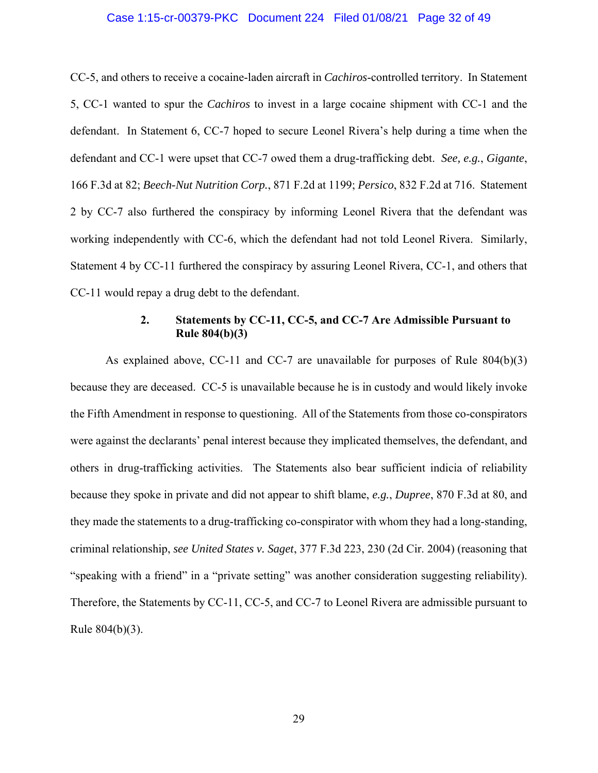#### Case 1:15-cr-00379-PKC Document 224 Filed 01/08/21 Page 32 of 49

CC-5, and others to receive a cocaine-laden aircraft in *Cachiros*-controlled territory. In Statement 5, CC-1 wanted to spur the *Cachiros* to invest in a large cocaine shipment with CC-1 and the defendant. In Statement 6, CC-7 hoped to secure Leonel Rivera's help during a time when the defendant and CC-1 were upset that CC-7 owed them a drug-trafficking debt. *See, e.g.*, *Gigante*, 166 F.3d at 82; *Beech-Nut Nutrition Corp.*, 871 F.2d at 1199; *Persico*, 832 F.2d at 716. Statement 2 by CC-7 also furthered the conspiracy by informing Leonel Rivera that the defendant was working independently with CC-6, which the defendant had not told Leonel Rivera. Similarly, Statement 4 by CC-11 furthered the conspiracy by assuring Leonel Rivera, CC-1, and others that CC-11 would repay a drug debt to the defendant.

## **2. Statements by CC-11, CC-5, and CC-7 Are Admissible Pursuant to Rule 804(b)(3)**

As explained above, CC-11 and CC-7 are unavailable for purposes of Rule 804(b)(3) because they are deceased. CC-5 is unavailable because he is in custody and would likely invoke the Fifth Amendment in response to questioning. All of the Statements from those co-conspirators were against the declarants' penal interest because they implicated themselves, the defendant, and others in drug-trafficking activities. The Statements also bear sufficient indicia of reliability because they spoke in private and did not appear to shift blame, *e.g.*, *Dupree*, 870 F.3d at 80, and they made the statements to a drug-trafficking co-conspirator with whom they had a long-standing, criminal relationship, *see United States v. Saget*, 377 F.3d 223, 230 (2d Cir. 2004) (reasoning that "speaking with a friend" in a "private setting" was another consideration suggesting reliability). Therefore, the Statements by CC-11, CC-5, and CC-7 to Leonel Rivera are admissible pursuant to Rule 804(b)(3).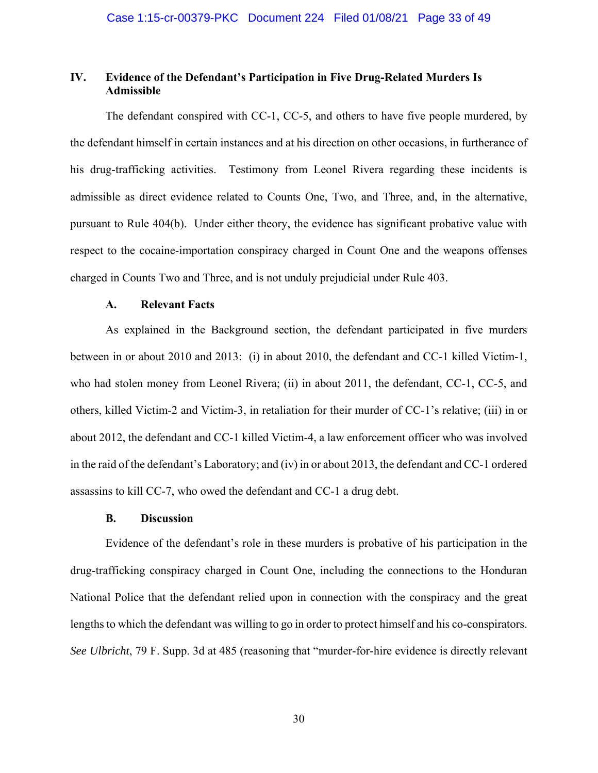## **IV. Evidence of the Defendant's Participation in Five Drug-Related Murders Is Admissible**

The defendant conspired with CC-1, CC-5, and others to have five people murdered, by the defendant himself in certain instances and at his direction on other occasions, in furtherance of his drug-trafficking activities. Testimony from Leonel Rivera regarding these incidents is admissible as direct evidence related to Counts One, Two, and Three, and, in the alternative, pursuant to Rule 404(b). Under either theory, the evidence has significant probative value with respect to the cocaine-importation conspiracy charged in Count One and the weapons offenses charged in Counts Two and Three, and is not unduly prejudicial under Rule 403.

#### **A. Relevant Facts**

As explained in the Background section, the defendant participated in five murders between in or about 2010 and 2013: (i) in about 2010, the defendant and CC-1 killed Victim-1, who had stolen money from Leonel Rivera; (ii) in about 2011, the defendant, CC-1, CC-5, and others, killed Victim-2 and Victim-3, in retaliation for their murder of CC-1's relative; (iii) in or about 2012, the defendant and CC-1 killed Victim-4, a law enforcement officer who was involved in the raid of the defendant's Laboratory; and (iv) in or about 2013, the defendant and CC-1 ordered assassins to kill CC-7, who owed the defendant and CC-1 a drug debt.

#### **B. Discussion**

Evidence of the defendant's role in these murders is probative of his participation in the drug-trafficking conspiracy charged in Count One, including the connections to the Honduran National Police that the defendant relied upon in connection with the conspiracy and the great lengths to which the defendant was willing to go in order to protect himself and his co-conspirators. *See Ulbricht*, 79 F. Supp. 3d at 485 (reasoning that "murder-for-hire evidence is directly relevant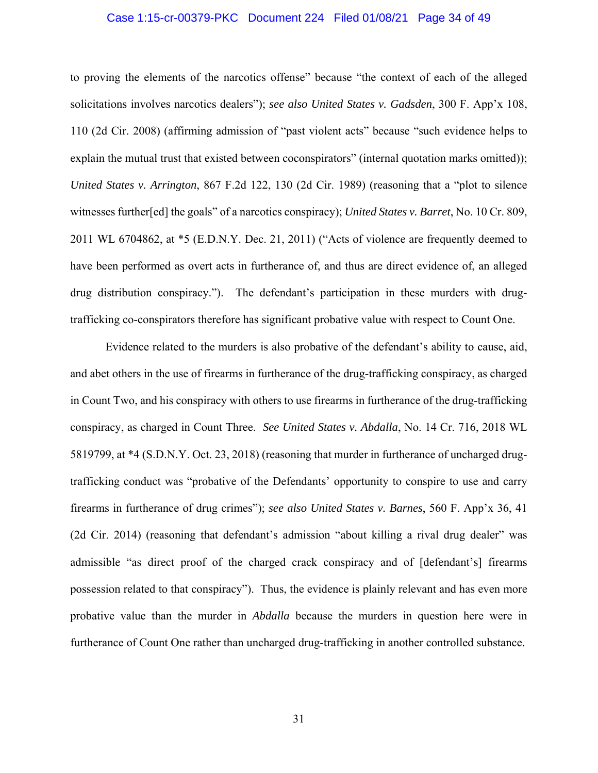#### Case 1:15-cr-00379-PKC Document 224 Filed 01/08/21 Page 34 of 49

to proving the elements of the narcotics offense" because "the context of each of the alleged solicitations involves narcotics dealers"); *see also United States v. Gadsden*, 300 F. App'x 108, 110 (2d Cir. 2008) (affirming admission of "past violent acts" because "such evidence helps to explain the mutual trust that existed between coconspirators" (internal quotation marks omitted)); *United States v. Arrington*, 867 F.2d 122, 130 (2d Cir. 1989) (reasoning that a "plot to silence witnesses further[ed] the goals" of a narcotics conspiracy); *United States v. Barret*, No. 10 Cr. 809, 2011 WL 6704862, at \*5 (E.D.N.Y. Dec. 21, 2011) ("Acts of violence are frequently deemed to have been performed as overt acts in furtherance of, and thus are direct evidence of, an alleged drug distribution conspiracy."). The defendant's participation in these murders with drugtrafficking co-conspirators therefore has significant probative value with respect to Count One.

Evidence related to the murders is also probative of the defendant's ability to cause, aid, and abet others in the use of firearms in furtherance of the drug-trafficking conspiracy, as charged in Count Two, and his conspiracy with others to use firearms in furtherance of the drug-trafficking conspiracy, as charged in Count Three. *See United States v. Abdalla*, No. 14 Cr. 716, 2018 WL 5819799, at \*4 (S.D.N.Y. Oct. 23, 2018) (reasoning that murder in furtherance of uncharged drugtrafficking conduct was "probative of the Defendants' opportunity to conspire to use and carry firearms in furtherance of drug crimes"); *see also United States v. Barnes*, 560 F. App'x 36, 41 (2d Cir. 2014) (reasoning that defendant's admission "about killing a rival drug dealer" was admissible "as direct proof of the charged crack conspiracy and of [defendant's] firearms possession related to that conspiracy"). Thus, the evidence is plainly relevant and has even more probative value than the murder in *Abdalla* because the murders in question here were in furtherance of Count One rather than uncharged drug-trafficking in another controlled substance.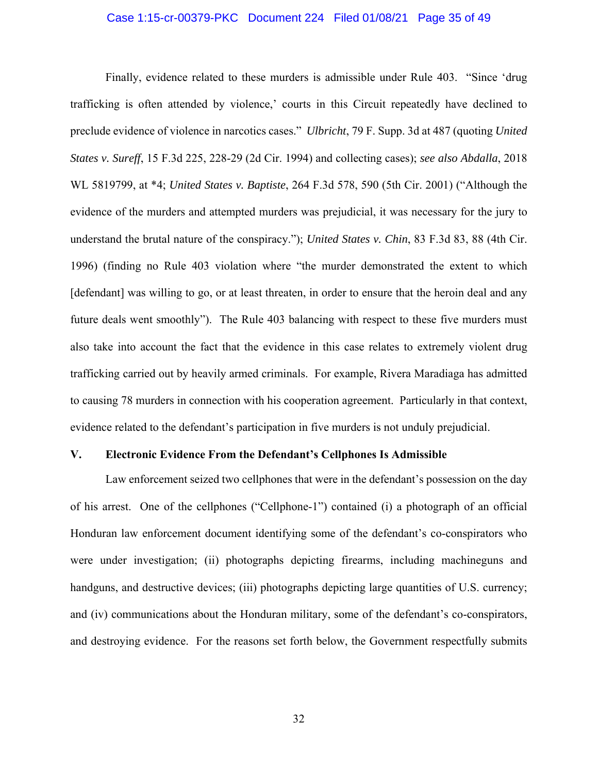#### Case 1:15-cr-00379-PKC Document 224 Filed 01/08/21 Page 35 of 49

Finally, evidence related to these murders is admissible under Rule 403. "Since 'drug trafficking is often attended by violence,' courts in this Circuit repeatedly have declined to preclude evidence of violence in narcotics cases." *Ulbricht*, 79 F. Supp. 3d at 487 (quoting *United States v. Sureff*, 15 F.3d 225, 228-29 (2d Cir. 1994) and collecting cases); *see also Abdalla*, 2018 WL 5819799, at \*4; *United States v. Baptiste*, 264 F.3d 578, 590 (5th Cir. 2001) ("Although the evidence of the murders and attempted murders was prejudicial, it was necessary for the jury to understand the brutal nature of the conspiracy."); *United States v. Chin*, 83 F.3d 83, 88 (4th Cir. 1996) (finding no Rule 403 violation where "the murder demonstrated the extent to which [defendant] was willing to go, or at least threaten, in order to ensure that the heroin deal and any future deals went smoothly"). The Rule 403 balancing with respect to these five murders must also take into account the fact that the evidence in this case relates to extremely violent drug trafficking carried out by heavily armed criminals. For example, Rivera Maradiaga has admitted to causing 78 murders in connection with his cooperation agreement. Particularly in that context, evidence related to the defendant's participation in five murders is not unduly prejudicial.

#### **V. Electronic Evidence From the Defendant's Cellphones Is Admissible**

Law enforcement seized two cellphones that were in the defendant's possession on the day of his arrest. One of the cellphones ("Cellphone-1") contained (i) a photograph of an official Honduran law enforcement document identifying some of the defendant's co-conspirators who were under investigation; (ii) photographs depicting firearms, including machineguns and handguns, and destructive devices; (iii) photographs depicting large quantities of U.S. currency; and (iv) communications about the Honduran military, some of the defendant's co-conspirators, and destroying evidence. For the reasons set forth below, the Government respectfully submits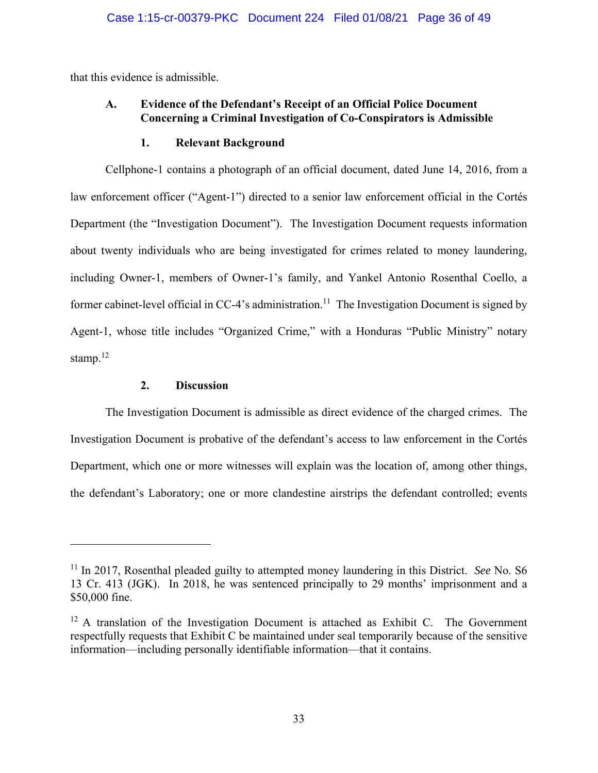that this evidence is admissible.

## **A. Evidence of the Defendant's Receipt of an Official Police Document Concerning a Criminal Investigation of Co-Conspirators is Admissible**

### **1. Relevant Background**

Cellphone-1 contains a photograph of an official document, dated June 14, 2016, from a law enforcement officer ("Agent-1") directed to a senior law enforcement official in the Cortés Department (the "Investigation Document"). The Investigation Document requests information about twenty individuals who are being investigated for crimes related to money laundering, including Owner-1, members of Owner-1's family, and Yankel Antonio Rosenthal Coello, a former cabinet-level official in CC-4's administration.<sup>11</sup> The Investigation Document is signed by Agent-1, whose title includes "Organized Crime," with a Honduras "Public Ministry" notary stamp. $12$ 

### **2. Discussion**

 $\overline{a}$ 

The Investigation Document is admissible as direct evidence of the charged crimes. The Investigation Document is probative of the defendant's access to law enforcement in the Cortés Department, which one or more witnesses will explain was the location of, among other things, the defendant's Laboratory; one or more clandestine airstrips the defendant controlled; events

<sup>11</sup> In 2017, Rosenthal pleaded guilty to attempted money laundering in this District. *See* No. S6 13 Cr. 413 (JGK). In 2018, he was sentenced principally to 29 months' imprisonment and a \$50,000 fine.

 $12$  A translation of the Investigation Document is attached as Exhibit C. The Government respectfully requests that Exhibit C be maintained under seal temporarily because of the sensitive information—including personally identifiable information—that it contains.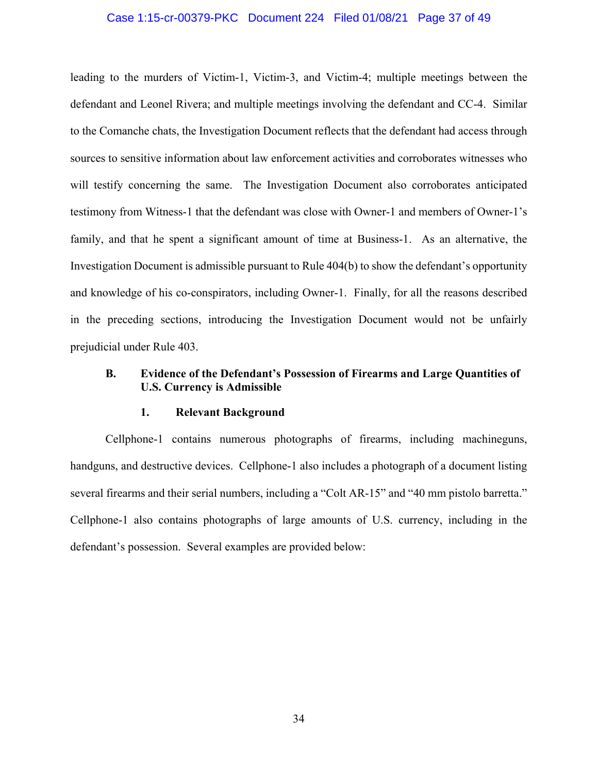#### Case 1:15-cr-00379-PKC Document 224 Filed 01/08/21 Page 37 of 49

leading to the murders of Victim-1, Victim-3, and Victim-4; multiple meetings between the defendant and Leonel Rivera; and multiple meetings involving the defendant and CC-4. Similar to the Comanche chats, the Investigation Document reflects that the defendant had access through sources to sensitive information about law enforcement activities and corroborates witnesses who will testify concerning the same. The Investigation Document also corroborates anticipated testimony from Witness-1 that the defendant was close with Owner-1 and members of Owner-1's family, and that he spent a significant amount of time at Business-1. As an alternative, the Investigation Document is admissible pursuant to Rule 404(b) to show the defendant's opportunity and knowledge of his co-conspirators, including Owner-1. Finally, for all the reasons described in the preceding sections, introducing the Investigation Document would not be unfairly prejudicial under Rule 403.

## **B. Evidence of the Defendant's Possession of Firearms and Large Quantities of U.S. Currency is Admissible**

### **1. Relevant Background**

Cellphone-1 contains numerous photographs of firearms, including machineguns, handguns, and destructive devices. Cellphone-1 also includes a photograph of a document listing several firearms and their serial numbers, including a "Colt AR-15" and "40 mm pistolo barretta." Cellphone-1 also contains photographs of large amounts of U.S. currency, including in the defendant's possession. Several examples are provided below: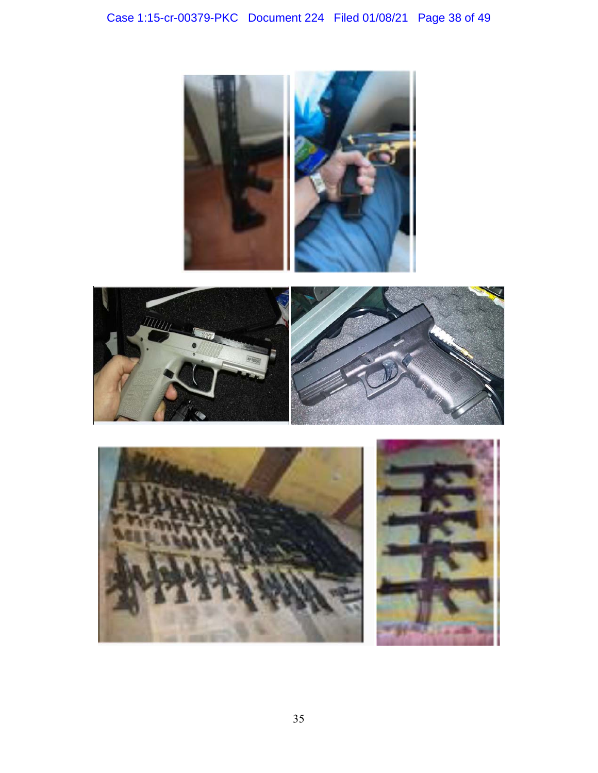



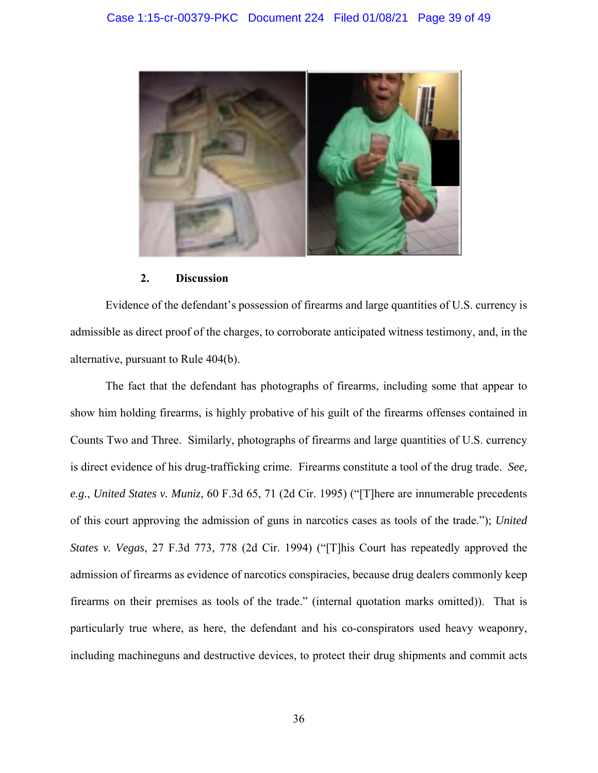

## **2. Discussion**

Evidence of the defendant's possession of firearms and large quantities of U.S. currency is admissible as direct proof of the charges, to corroborate anticipated witness testimony, and, in the alternative, pursuant to Rule 404(b).

The fact that the defendant has photographs of firearms, including some that appear to show him holding firearms, is highly probative of his guilt of the firearms offenses contained in Counts Two and Three. Similarly, photographs of firearms and large quantities of U.S. currency is direct evidence of his drug-trafficking crime. Firearms constitute a tool of the drug trade. *See, e.g.*, *United States v. Muniz*, 60 F.3d 65, 71 (2d Cir. 1995) ("[T]here are innumerable precedents of this court approving the admission of guns in narcotics cases as tools of the trade."); *United States v. Vegas*, 27 F.3d 773, 778 (2d Cir. 1994) ("[T]his Court has repeatedly approved the admission of firearms as evidence of narcotics conspiracies, because drug dealers commonly keep firearms on their premises as tools of the trade." (internal quotation marks omitted)). That is particularly true where, as here, the defendant and his co-conspirators used heavy weaponry, including machineguns and destructive devices, to protect their drug shipments and commit acts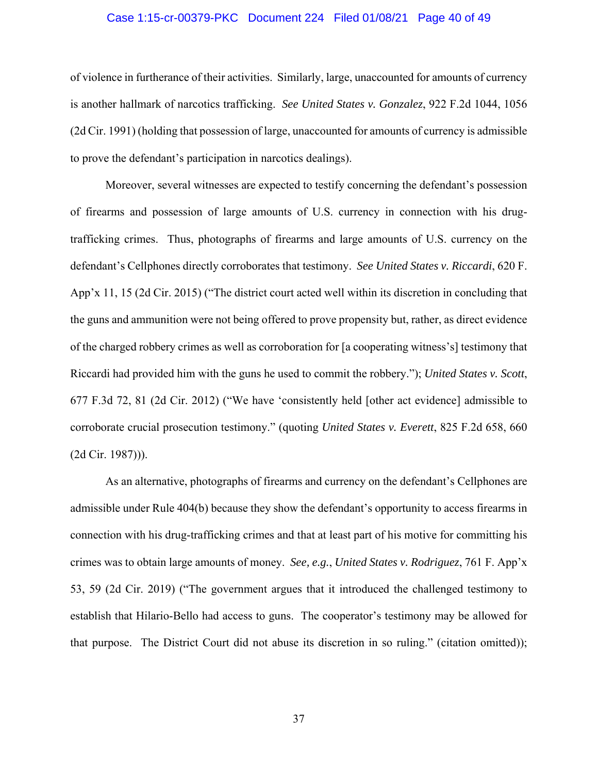#### Case 1:15-cr-00379-PKC Document 224 Filed 01/08/21 Page 40 of 49

of violence in furtherance of their activities. Similarly, large, unaccounted for amounts of currency is another hallmark of narcotics trafficking. *See United States v. Gonzalez*, 922 F.2d 1044, 1056 (2d Cir. 1991) (holding that possession of large, unaccounted for amounts of currency is admissible to prove the defendant's participation in narcotics dealings).

Moreover, several witnesses are expected to testify concerning the defendant's possession of firearms and possession of large amounts of U.S. currency in connection with his drugtrafficking crimes. Thus, photographs of firearms and large amounts of U.S. currency on the defendant's Cellphones directly corroborates that testimony. *See United States v. Riccardi*, 620 F. App'x 11, 15 (2d Cir. 2015) ("The district court acted well within its discretion in concluding that the guns and ammunition were not being offered to prove propensity but, rather, as direct evidence of the charged robbery crimes as well as corroboration for [a cooperating witness's] testimony that Riccardi had provided him with the guns he used to commit the robbery."); *United States v. Scott*, 677 F.3d 72, 81 (2d Cir. 2012) ("We have 'consistently held [other act evidence] admissible to corroborate crucial prosecution testimony." (quoting *United States v. Everett*, 825 F.2d 658, 660 (2d Cir. 1987))).

As an alternative, photographs of firearms and currency on the defendant's Cellphones are admissible under Rule 404(b) because they show the defendant's opportunity to access firearms in connection with his drug-trafficking crimes and that at least part of his motive for committing his crimes was to obtain large amounts of money. *See, e.g.*, *United States v. Rodriguez*, 761 F. App'x 53, 59 (2d Cir. 2019) ("The government argues that it introduced the challenged testimony to establish that Hilario-Bello had access to guns. The cooperator's testimony may be allowed for that purpose. The District Court did not abuse its discretion in so ruling." (citation omitted));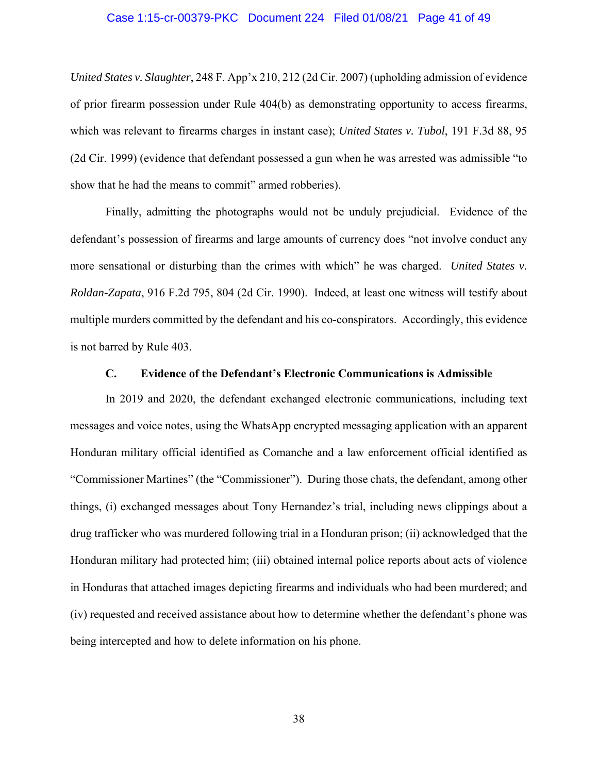#### Case 1:15-cr-00379-PKC Document 224 Filed 01/08/21 Page 41 of 49

*United States v. Slaughter*, 248 F. App'x 210, 212 (2d Cir. 2007) (upholding admission of evidence of prior firearm possession under Rule 404(b) as demonstrating opportunity to access firearms, which was relevant to firearms charges in instant case); *United States v. Tubol*, 191 F.3d 88, 95 (2d Cir. 1999) (evidence that defendant possessed a gun when he was arrested was admissible "to show that he had the means to commit" armed robberies).

Finally, admitting the photographs would not be unduly prejudicial. Evidence of the defendant's possession of firearms and large amounts of currency does "not involve conduct any more sensational or disturbing than the crimes with which" he was charged. *United States v. Roldan-Zapata*, 916 F.2d 795, 804 (2d Cir. 1990). Indeed, at least one witness will testify about multiple murders committed by the defendant and his co-conspirators. Accordingly, this evidence is not barred by Rule 403.

#### **C. Evidence of the Defendant's Electronic Communications is Admissible**

In 2019 and 2020, the defendant exchanged electronic communications, including text messages and voice notes, using the WhatsApp encrypted messaging application with an apparent Honduran military official identified as Comanche and a law enforcement official identified as "Commissioner Martines" (the "Commissioner"). During those chats, the defendant, among other things, (i) exchanged messages about Tony Hernandez's trial, including news clippings about a drug trafficker who was murdered following trial in a Honduran prison; (ii) acknowledged that the Honduran military had protected him; (iii) obtained internal police reports about acts of violence in Honduras that attached images depicting firearms and individuals who had been murdered; and (iv) requested and received assistance about how to determine whether the defendant's phone was being intercepted and how to delete information on his phone.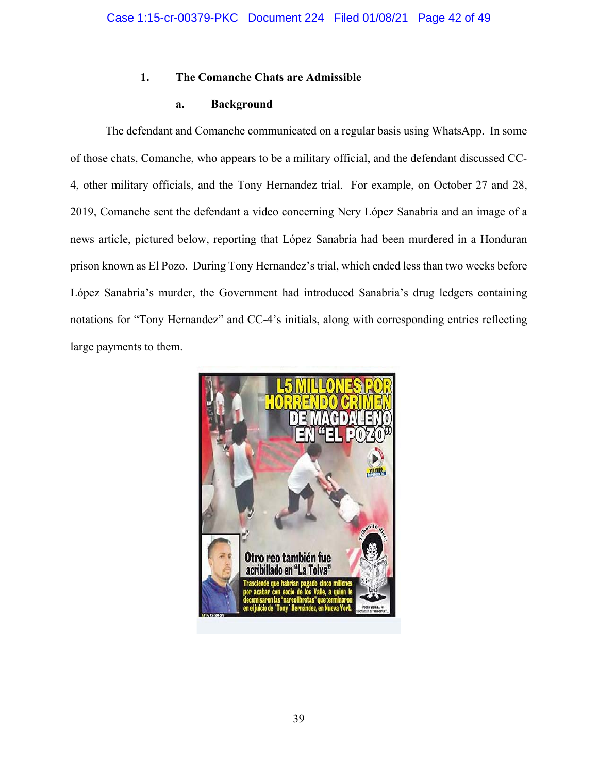## **1. The Comanche Chats are Admissible**

## **a. Background**

The defendant and Comanche communicated on a regular basis using WhatsApp. In some of those chats, Comanche, who appears to be a military official, and the defendant discussed CC-4, other military officials, and the Tony Hernandez trial. For example, on October 27 and 28, 2019, Comanche sent the defendant a video concerning Nery López Sanabria and an image of a news article, pictured below, reporting that López Sanabria had been murdered in a Honduran prison known as El Pozo. During Tony Hernandez's trial, which ended less than two weeks before López Sanabria's murder, the Government had introduced Sanabria's drug ledgers containing notations for "Tony Hernandez" and CC-4's initials, along with corresponding entries reflecting large payments to them.

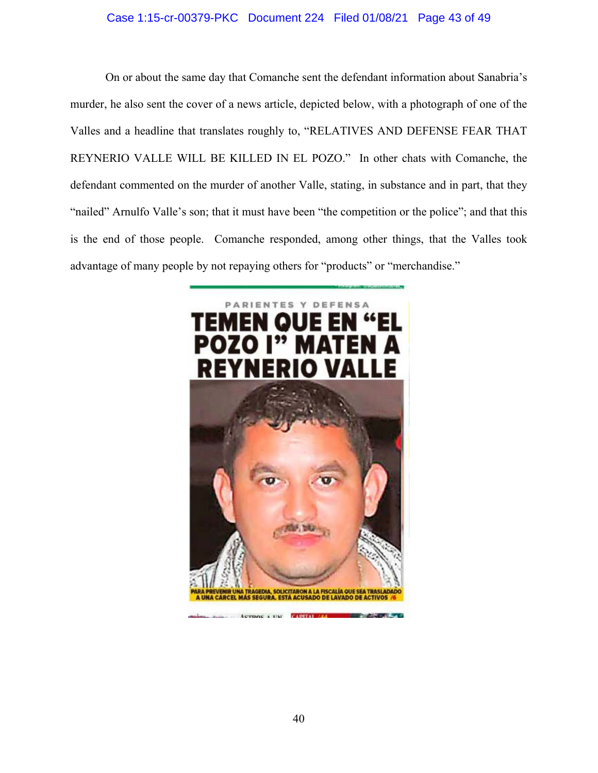### Case 1:15-cr-00379-PKC Document 224 Filed 01/08/21 Page 43 of 49

On or about the same day that Comanche sent the defendant information about Sanabria's murder, he also sent the cover of a news article, depicted below, with a photograph of one of the Valles and a headline that translates roughly to, "RELATIVES AND DEFENSE FEAR THAT REYNERIO VALLE WILL BE KILLED IN EL POZO." In other chats with Comanche, the defendant commented on the murder of another Valle, stating, in substance and in part, that they "nailed" Arnulfo Valle's son; that it must have been "the competition or the police"; and that this is the end of those people. Comanche responded, among other things, that the Valles took advantage of many people by not repaying others for "products" or "merchandise."

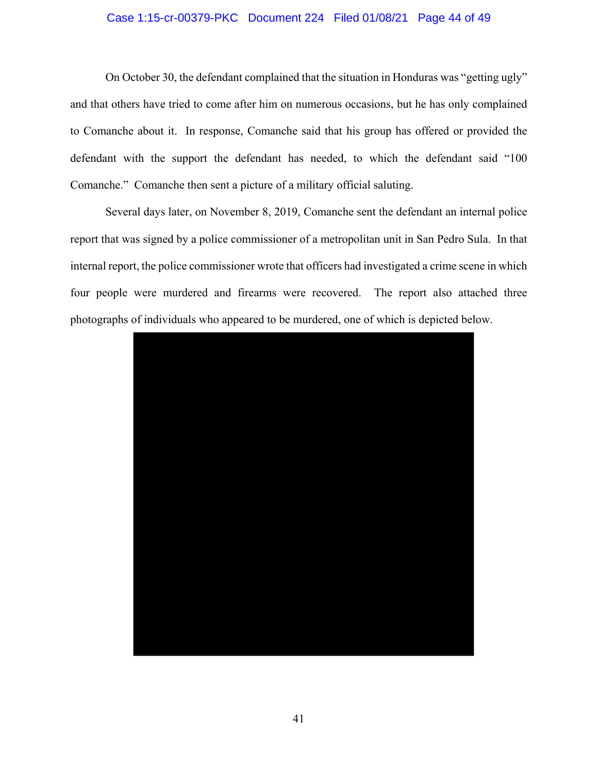#### Case 1:15-cr-00379-PKC Document 224 Filed 01/08/21 Page 44 of 49

On October 30, the defendant complained that the situation in Honduras was "getting ugly" and that others have tried to come after him on numerous occasions, but he has only complained to Comanche about it. In response, Comanche said that his group has offered or provided the defendant with the support the defendant has needed, to which the defendant said "100 Comanche." Comanche then sent a picture of a military official saluting.

Several days later, on November 8, 2019, Comanche sent the defendant an internal police report that was signed by a police commissioner of a metropolitan unit in San Pedro Sula. In that internal report, the police commissioner wrote that officers had investigated a crime scene in which four people were murdered and firearms were recovered. The report also attached three photographs of individuals who appeared to be murdered, one of which is depicted below.

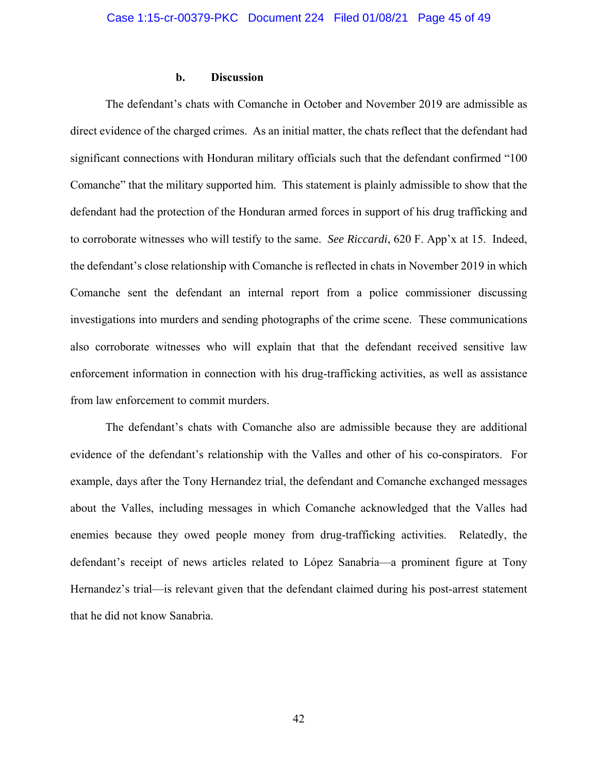#### **b. Discussion**

The defendant's chats with Comanche in October and November 2019 are admissible as direct evidence of the charged crimes. As an initial matter, the chats reflect that the defendant had significant connections with Honduran military officials such that the defendant confirmed "100 Comanche" that the military supported him. This statement is plainly admissible to show that the defendant had the protection of the Honduran armed forces in support of his drug trafficking and to corroborate witnesses who will testify to the same. *See Riccardi*, 620 F. App'x at 15. Indeed, the defendant's close relationship with Comanche is reflected in chats in November 2019 in which Comanche sent the defendant an internal report from a police commissioner discussing investigations into murders and sending photographs of the crime scene. These communications also corroborate witnesses who will explain that that the defendant received sensitive law enforcement information in connection with his drug-trafficking activities, as well as assistance from law enforcement to commit murders.

The defendant's chats with Comanche also are admissible because they are additional evidence of the defendant's relationship with the Valles and other of his co-conspirators. For example, days after the Tony Hernandez trial, the defendant and Comanche exchanged messages about the Valles, including messages in which Comanche acknowledged that the Valles had enemies because they owed people money from drug-trafficking activities. Relatedly, the defendant's receipt of news articles related to López Sanabria—a prominent figure at Tony Hernandez's trial—is relevant given that the defendant claimed during his post-arrest statement that he did not know Sanabria.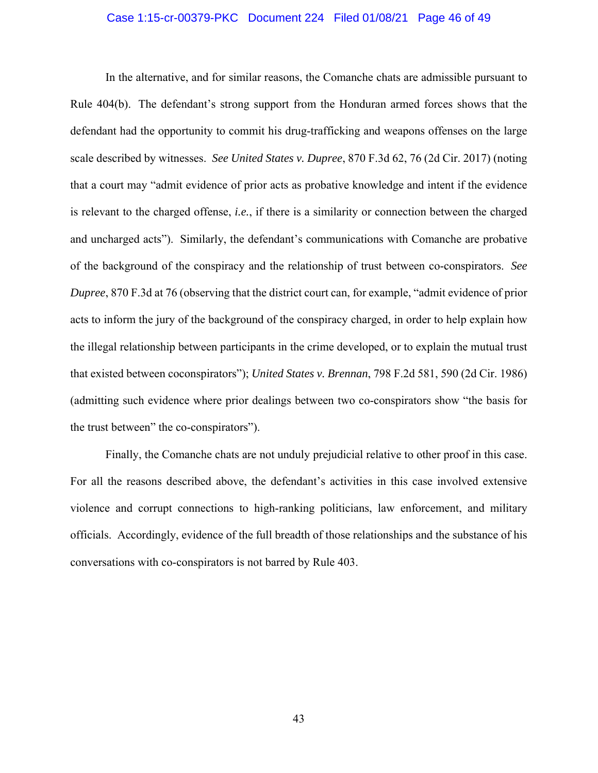#### Case 1:15-cr-00379-PKC Document 224 Filed 01/08/21 Page 46 of 49

In the alternative, and for similar reasons, the Comanche chats are admissible pursuant to Rule 404(b). The defendant's strong support from the Honduran armed forces shows that the defendant had the opportunity to commit his drug-trafficking and weapons offenses on the large scale described by witnesses. *See United States v. Dupree*, 870 F.3d 62, 76 (2d Cir. 2017) (noting that a court may "admit evidence of prior acts as probative knowledge and intent if the evidence is relevant to the charged offense, *i.e.*, if there is a similarity or connection between the charged and uncharged acts"). Similarly, the defendant's communications with Comanche are probative of the background of the conspiracy and the relationship of trust between co-conspirators. *See Dupree*, 870 F.3d at 76 (observing that the district court can, for example, "admit evidence of prior acts to inform the jury of the background of the conspiracy charged, in order to help explain how the illegal relationship between participants in the crime developed, or to explain the mutual trust that existed between coconspirators"); *United States v. Brennan*, 798 F.2d 581, 590 (2d Cir. 1986) (admitting such evidence where prior dealings between two co-conspirators show "the basis for the trust between" the co-conspirators").

Finally, the Comanche chats are not unduly prejudicial relative to other proof in this case. For all the reasons described above, the defendant's activities in this case involved extensive violence and corrupt connections to high-ranking politicians, law enforcement, and military officials. Accordingly, evidence of the full breadth of those relationships and the substance of his conversations with co-conspirators is not barred by Rule 403.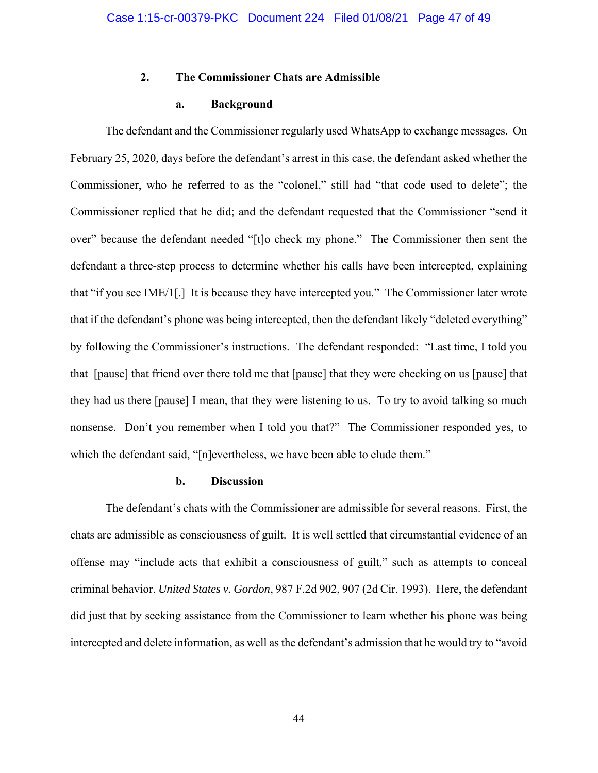### **2. The Commissioner Chats are Admissible**

#### **a. Background**

The defendant and the Commissioner regularly used WhatsApp to exchange messages. On February 25, 2020, days before the defendant's arrest in this case, the defendant asked whether the Commissioner, who he referred to as the "colonel," still had "that code used to delete"; the Commissioner replied that he did; and the defendant requested that the Commissioner "send it over" because the defendant needed "[t]o check my phone." The Commissioner then sent the defendant a three-step process to determine whether his calls have been intercepted, explaining that "if you see IME/1[.] It is because they have intercepted you." The Commissioner later wrote that if the defendant's phone was being intercepted, then the defendant likely "deleted everything" by following the Commissioner's instructions. The defendant responded: "Last time, I told you that [pause] that friend over there told me that [pause] that they were checking on us [pause] that they had us there [pause] I mean, that they were listening to us. To try to avoid talking so much nonsense. Don't you remember when I told you that?" The Commissioner responded yes, to which the defendant said, "[n]evertheless, we have been able to elude them."

#### **b. Discussion**

The defendant's chats with the Commissioner are admissible for several reasons. First, the chats are admissible as consciousness of guilt. It is well settled that circumstantial evidence of an offense may "include acts that exhibit a consciousness of guilt," such as attempts to conceal criminal behavior. *United States v. Gordon*, 987 F.2d 902, 907 (2d Cir. 1993). Here, the defendant did just that by seeking assistance from the Commissioner to learn whether his phone was being intercepted and delete information, as well as the defendant's admission that he would try to "avoid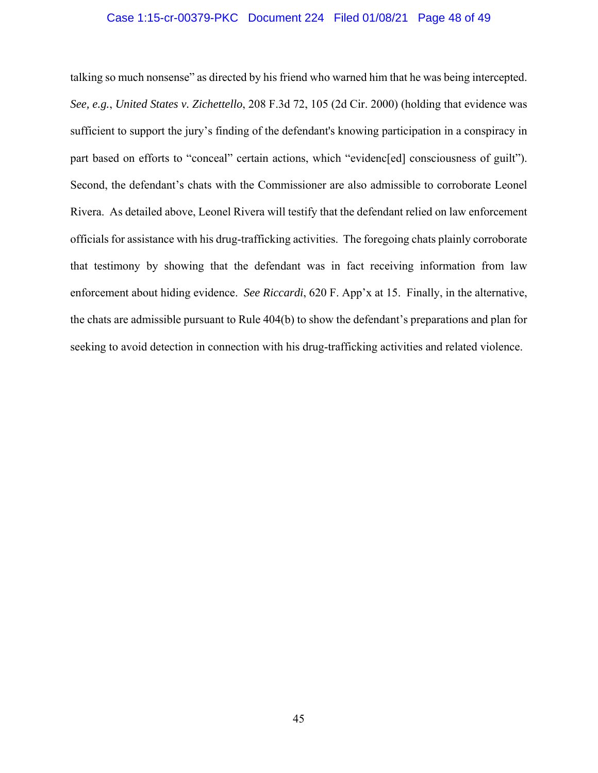#### Case 1:15-cr-00379-PKC Document 224 Filed 01/08/21 Page 48 of 49

talking so much nonsense" as directed by his friend who warned him that he was being intercepted. *See, e.g.*, *United States v. Zichettello*, 208 F.3d 72, 105 (2d Cir. 2000) (holding that evidence was sufficient to support the jury's finding of the defendant's knowing participation in a conspiracy in part based on efforts to "conceal" certain actions, which "evidenc[ed] consciousness of guilt"). Second, the defendant's chats with the Commissioner are also admissible to corroborate Leonel Rivera. As detailed above, Leonel Rivera will testify that the defendant relied on law enforcement officials for assistance with his drug-trafficking activities. The foregoing chats plainly corroborate that testimony by showing that the defendant was in fact receiving information from law enforcement about hiding evidence. *See Riccardi*, 620 F. App'x at 15. Finally, in the alternative, the chats are admissible pursuant to Rule 404(b) to show the defendant's preparations and plan for seeking to avoid detection in connection with his drug-trafficking activities and related violence.